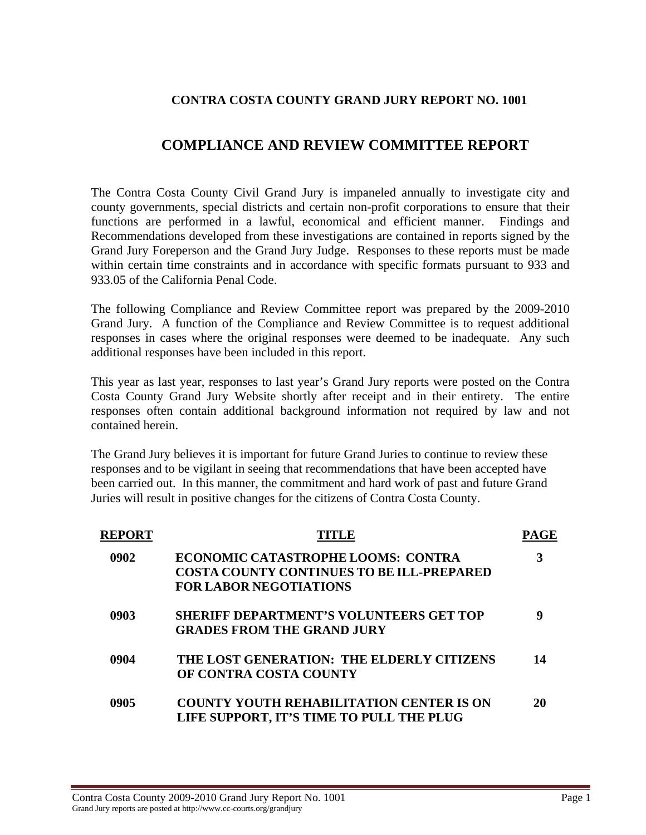## **CONTRA COSTA COUNTY GRAND JURY REPORT NO. 1001**

# **COMPLIANCE AND REVIEW COMMITTEE REPORT**

The Contra Costa County Civil Grand Jury is impaneled annually to investigate city and county governments, special districts and certain non-profit corporations to ensure that their functions are performed in a lawful, economical and efficient manner. Findings and Recommendations developed from these investigations are contained in reports signed by the Grand Jury Foreperson and the Grand Jury Judge. Responses to these reports must be made within certain time constraints and in accordance with specific formats pursuant to 933 and 933.05 of the California Penal Code.

The following Compliance and Review Committee report was prepared by the 2009-2010 Grand Jury. A function of the Compliance and Review Committee is to request additional responses in cases where the original responses were deemed to be inadequate. Any such additional responses have been included in this report.

This year as last year, responses to last year's Grand Jury reports were posted on the Contra Costa County Grand Jury Website shortly after receipt and in their entirety. The entire responses often contain additional background information not required by law and not contained herein.

The Grand Jury believes it is important for future Grand Juries to continue to review these responses and to be vigilant in seeing that recommendations that have been accepted have been carried out. In this manner, the commitment and hard work of past and future Grand Juries will result in positive changes for the citizens of Contra Costa County.

| <b>REPORT</b> |                                                  |    |
|---------------|--------------------------------------------------|----|
| 0902          | ECONOMIC CATASTROPHE LOOMS: CONTRA               |    |
|               | <b>COSTA COUNTY CONTINUES TO BE ILL-PREPARED</b> |    |
|               | <b>FOR LABOR NEGOTIATIONS</b>                    |    |
| 0903          | <b>SHERIFF DEPARTMENT'S VOLUNTEERS GET TOP</b>   | g  |
|               | <b>GRADES FROM THE GRAND JURY</b>                |    |
| 0904          | THE LOST GENERATION: THE ELDERLY CITIZENS        | 14 |
|               | OF CONTRA COSTA COUNTY                           |    |
| 0905          | <b>COUNTY YOUTH REHABILITATION CENTER IS ON</b>  | 20 |
|               | LIFE SUPPORT, IT'S TIME TO PULL THE PLUG         |    |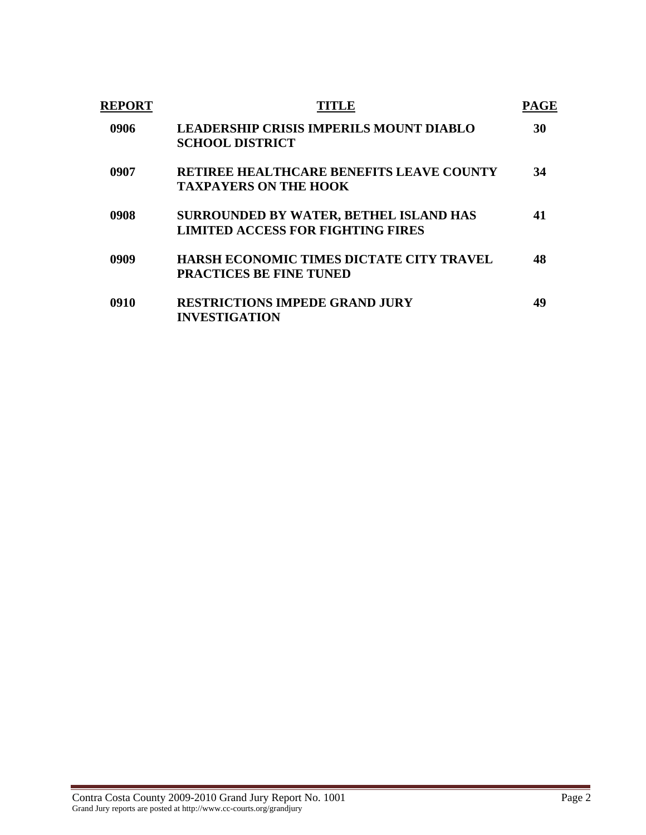| <b>REPORT</b> |                                                                                    | PAGE |
|---------------|------------------------------------------------------------------------------------|------|
| 0906          | <b>LEADERSHIP CRISIS IMPERILS MOUNT DIABLO</b><br><b>SCHOOL DISTRICT</b>           | 30   |
| 0907          | <b>RETIREE HEALTHCARE BENEFITS LEAVE COUNTY</b><br><b>TAXPAYERS ON THE HOOK</b>    | 34   |
| 0908          | SURROUNDED BY WATER, BETHEL ISLAND HAS<br><b>LIMITED ACCESS FOR FIGHTING FIRES</b> | 41   |
| 0909          | <b>HARSH ECONOMIC TIMES DICTATE CITY TRAVEL</b><br><b>PRACTICES BE FINE TUNED</b>  | 48   |
| 0910          | <b>RESTRICTIONS IMPEDE GRAND JURY</b><br><b>INVESTIGATION</b>                      | 49   |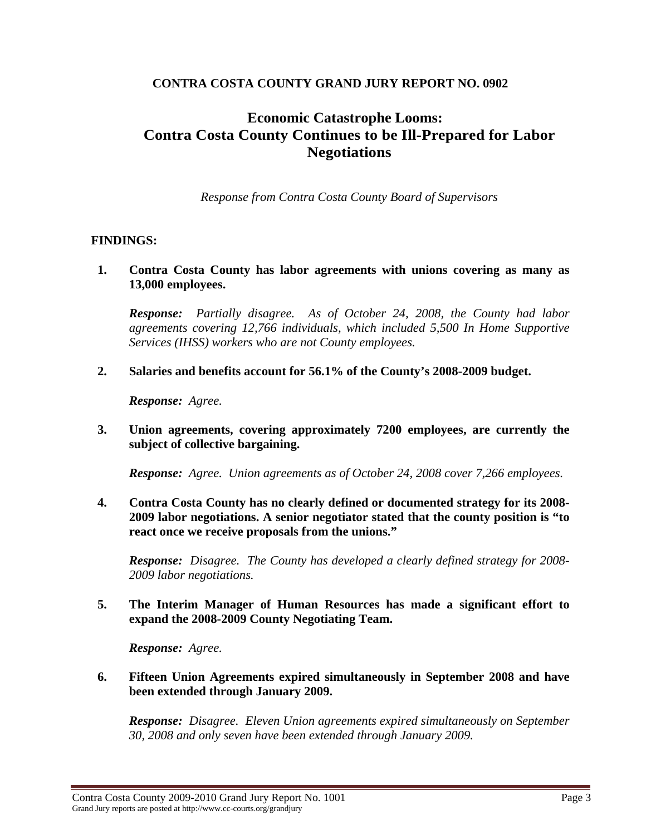## **CONTRA COSTA COUNTY GRAND JURY REPORT NO. 0902**

# **Economic Catastrophe Looms: Contra Costa County Continues to be Ill-Prepared for Labor Negotiations**

*Response from Contra Costa County Board of Supervisors* 

## **FINDINGS:**

**1. Contra Costa County has labor agreements with unions covering as many as 13,000 employees.** 

*Response: Partially disagree. As of October 24, 2008, the County had labor agreements covering 12,766 individuals, which included 5,500 In Home Supportive Services (IHSS) workers who are not County employees.* 

**2. Salaries and benefits account for 56.1% of the County's 2008-2009 budget.** 

*Response: Agree.* 

**3. Union agreements, covering approximately 7200 employees, are currently the subject of collective bargaining.** 

*Response: Agree. Union agreements as of October 24, 2008 cover 7,266 employees.* 

**4. Contra Costa County has no clearly defined or documented strategy for its 2008- 2009 labor negotiations. A senior negotiator stated that the county position is "to react once we receive proposals from the unions."** 

*Response: Disagree. The County has developed a clearly defined strategy for 2008- 2009 labor negotiations.* 

**5. The Interim Manager of Human Resources has made a significant effort to expand the 2008-2009 County Negotiating Team.** 

*Response: Agree.* 

**6. Fifteen Union Agreements expired simultaneously in September 2008 and have been extended through January 2009.** 

*Response: Disagree. Eleven Union agreements expired simultaneously on September 30, 2008 and only seven have been extended through January 2009.*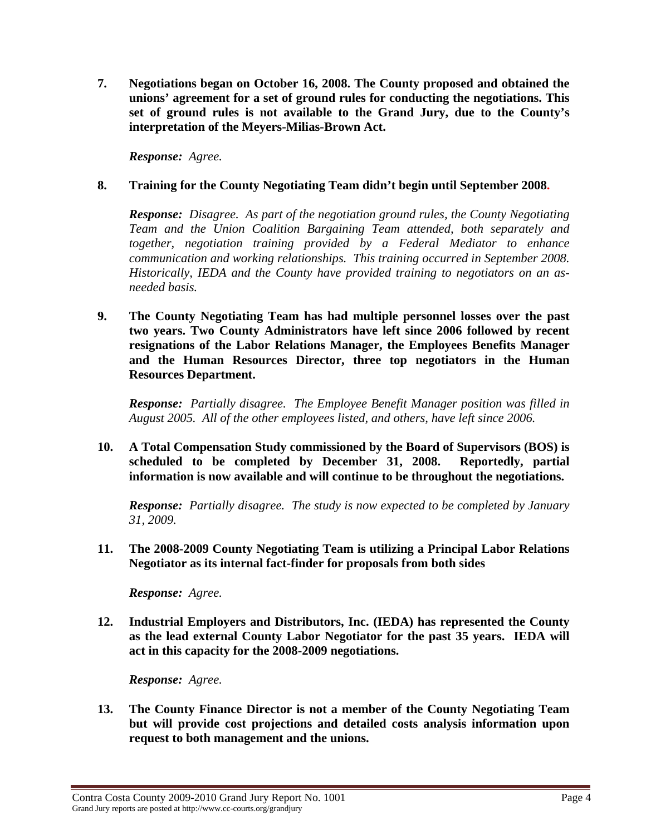**7. Negotiations began on October 16, 2008. The County proposed and obtained the unions' agreement for a set of ground rules for conducting the negotiations. This set of ground rules is not available to the Grand Jury, due to the County's interpretation of the Meyers-Milias-Brown Act.** 

*Response: Agree.* 

#### **8. Training for the County Negotiating Team didn't begin until September 2008.**

*Response: Disagree. As part of the negotiation ground rules, the County Negotiating Team and the Union Coalition Bargaining Team attended, both separately and together, negotiation training provided by a Federal Mediator to enhance communication and working relationships. This training occurred in September 2008. Historically, IEDA and the County have provided training to negotiators on an asneeded basis.* 

**9. The County Negotiating Team has had multiple personnel losses over the past two years. Two County Administrators have left since 2006 followed by recent resignations of the Labor Relations Manager, the Employees Benefits Manager and the Human Resources Director, three top negotiators in the Human Resources Department.** 

*Response: Partially disagree. The Employee Benefit Manager position was filled in August 2005. All of the other employees listed, and others, have left since 2006.* 

**10. A Total Compensation Study commissioned by the Board of Supervisors (BOS) is scheduled to be completed by December 31, 2008. Reportedly, partial information is now available and will continue to be throughout the negotiations.** 

*Response: Partially disagree. The study is now expected to be completed by January 31, 2009.* 

**11. The 2008-2009 County Negotiating Team is utilizing a Principal Labor Relations Negotiator as its internal fact-finder for proposals from both sides**

*Response: Agree.* 

**12. Industrial Employers and Distributors, Inc. (IEDA) has represented the County as the lead external County Labor Negotiator for the past 35 years. IEDA will act in this capacity for the 2008-2009 negotiations.** 

*Response: Agree.* 

**13. The County Finance Director is not a member of the County Negotiating Team but will provide cost projections and detailed costs analysis information upon request to both management and the unions.**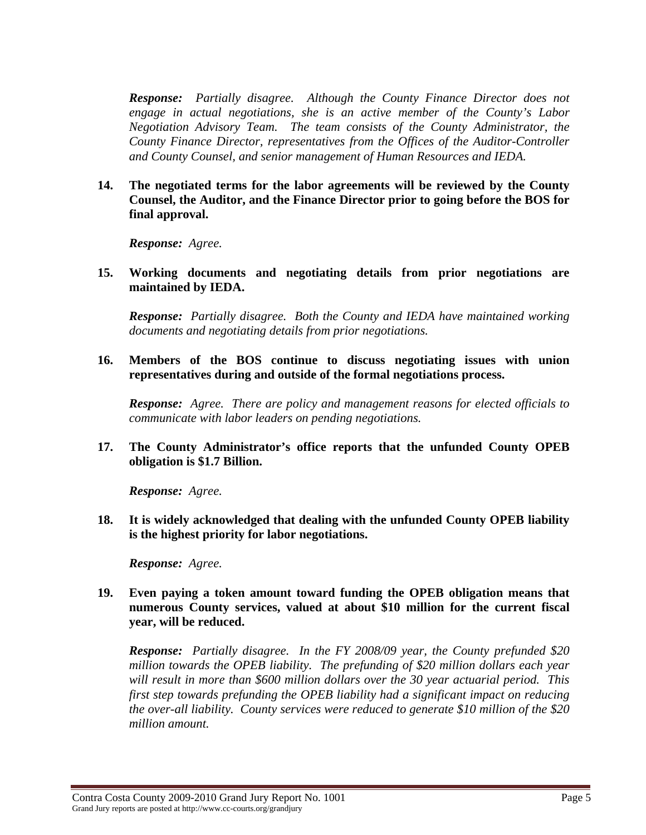*Response: Partially disagree. Although the County Finance Director does not engage in actual negotiations, she is an active member of the County's Labor Negotiation Advisory Team. The team consists of the County Administrator, the County Finance Director, representatives from the Offices of the Auditor-Controller and County Counsel, and senior management of Human Resources and IEDA.* 

**14. The negotiated terms for the labor agreements will be reviewed by the County Counsel, the Auditor, and the Finance Director prior to going before the BOS for final approval.** 

*Response: Agree.* 

**15. Working documents and negotiating details from prior negotiations are maintained by IEDA.** 

*Response: Partially disagree. Both the County and IEDA have maintained working documents and negotiating details from prior negotiations.* 

**16. Members of the BOS continue to discuss negotiating issues with union representatives during and outside of the formal negotiations process.** 

*Response: Agree. There are policy and management reasons for elected officials to communicate with labor leaders on pending negotiations.* 

**17. The County Administrator's office reports that the unfunded County OPEB obligation is \$1.7 Billion.** 

*Response: Agree.* 

**18. It is widely acknowledged that dealing with the unfunded County OPEB liability is the highest priority for labor negotiations.** 

*Response: Agree.* 

**19. Even paying a token amount toward funding the OPEB obligation means that numerous County services, valued at about \$10 million for the current fiscal year, will be reduced.** 

*Response: Partially disagree. In the FY 2008/09 year, the County prefunded \$20 million towards the OPEB liability. The prefunding of \$20 million dollars each year will result in more than \$600 million dollars over the 30 year actuarial period. This first step towards prefunding the OPEB liability had a significant impact on reducing the over-all liability. County services were reduced to generate \$10 million of the \$20 million amount.*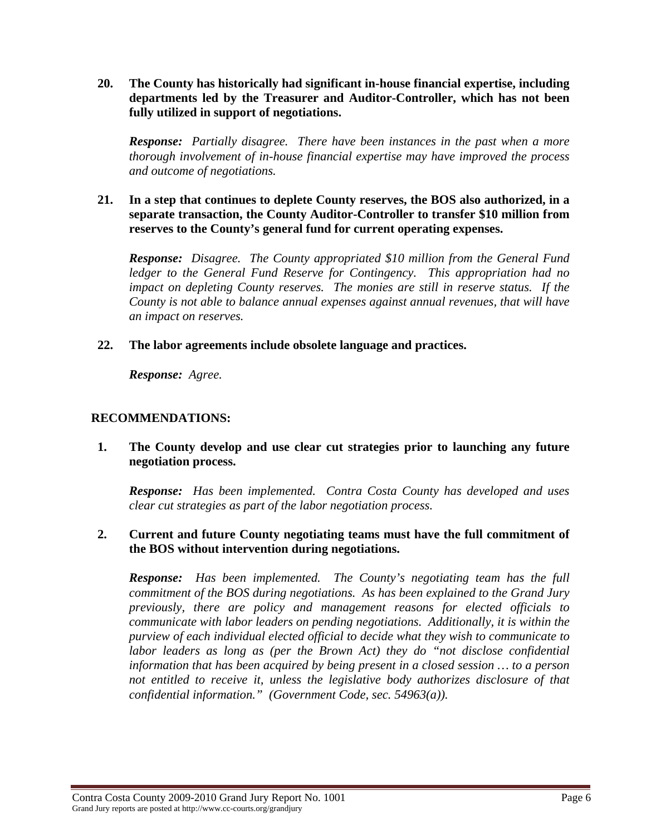**20. The County has historically had significant in-house financial expertise, including departments led by the Treasurer and Auditor-Controller, which has not been fully utilized in support of negotiations.** 

*Response: Partially disagree. There have been instances in the past when a more thorough involvement of in-house financial expertise may have improved the process and outcome of negotiations.* 

#### **21. In a step that continues to deplete County reserves, the BOS also authorized, in a separate transaction, the County Auditor-Controller to transfer \$10 million from reserves to the County's general fund for current operating expenses.**

*Response: Disagree. The County appropriated \$10 million from the General Fund ledger to the General Fund Reserve for Contingency. This appropriation had no impact on depleting County reserves. The monies are still in reserve status. If the County is not able to balance annual expenses against annual revenues, that will have an impact on reserves.* 

**22. The labor agreements include obsolete language and practices.** 

*Response: Agree.* 

## **RECOMMENDATIONS:**

**1. The County develop and use clear cut strategies prior to launching any future negotiation process.** 

*Response: Has been implemented. Contra Costa County has developed and uses clear cut strategies as part of the labor negotiation process.* 

## **2. Current and future County negotiating teams must have the full commitment of the BOS without intervention during negotiations.**

*Response: Has been implemented. The County's negotiating team has the full commitment of the BOS during negotiations. As has been explained to the Grand Jury previously, there are policy and management reasons for elected officials to communicate with labor leaders on pending negotiations. Additionally, it is within the purview of each individual elected official to decide what they wish to communicate to labor leaders as long as (per the Brown Act) they do "not disclose confidential information that has been acquired by being present in a closed session … to a person not entitled to receive it, unless the legislative body authorizes disclosure of that confidential information." (Government Code, sec. 54963(a)).*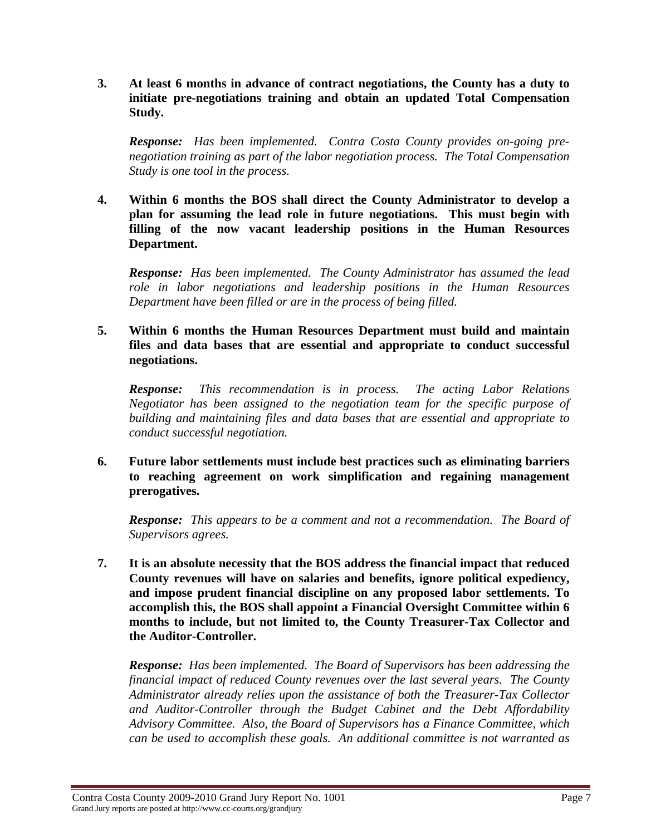**3. At least 6 months in advance of contract negotiations, the County has a duty to initiate pre-negotiations training and obtain an updated Total Compensation Study.** 

*Response: Has been implemented. Contra Costa County provides on-going prenegotiation training as part of the labor negotiation process. The Total Compensation Study is one tool in the process.* 

**4. Within 6 months the BOS shall direct the County Administrator to develop a plan for assuming the lead role in future negotiations. This must begin with filling of the now vacant leadership positions in the Human Resources Department.** 

*Response: Has been implemented. The County Administrator has assumed the lead role in labor negotiations and leadership positions in the Human Resources Department have been filled or are in the process of being filled.* 

**5. Within 6 months the Human Resources Department must build and maintain files and data bases that are essential and appropriate to conduct successful negotiations.** 

*Response: This recommendation is in process. The acting Labor Relations Negotiator has been assigned to the negotiation team for the specific purpose of building and maintaining files and data bases that are essential and appropriate to conduct successful negotiation.* 

**6. Future labor settlements must include best practices such as eliminating barriers to reaching agreement on work simplification and regaining management prerogatives.** 

*Response: This appears to be a comment and not a recommendation. The Board of Supervisors agrees.* 

**7. It is an absolute necessity that the BOS address the financial impact that reduced County revenues will have on salaries and benefits, ignore political expediency, and impose prudent financial discipline on any proposed labor settlements. To accomplish this, the BOS shall appoint a Financial Oversight Committee within 6 months to include, but not limited to, the County Treasurer-Tax Collector and the Auditor-Controller.** 

*Response: Has been implemented. The Board of Supervisors has been addressing the financial impact of reduced County revenues over the last several years. The County Administrator already relies upon the assistance of both the Treasurer-Tax Collector and Auditor-Controller through the Budget Cabinet and the Debt Affordability Advisory Committee. Also, the Board of Supervisors has a Finance Committee, which can be used to accomplish these goals. An additional committee is not warranted as*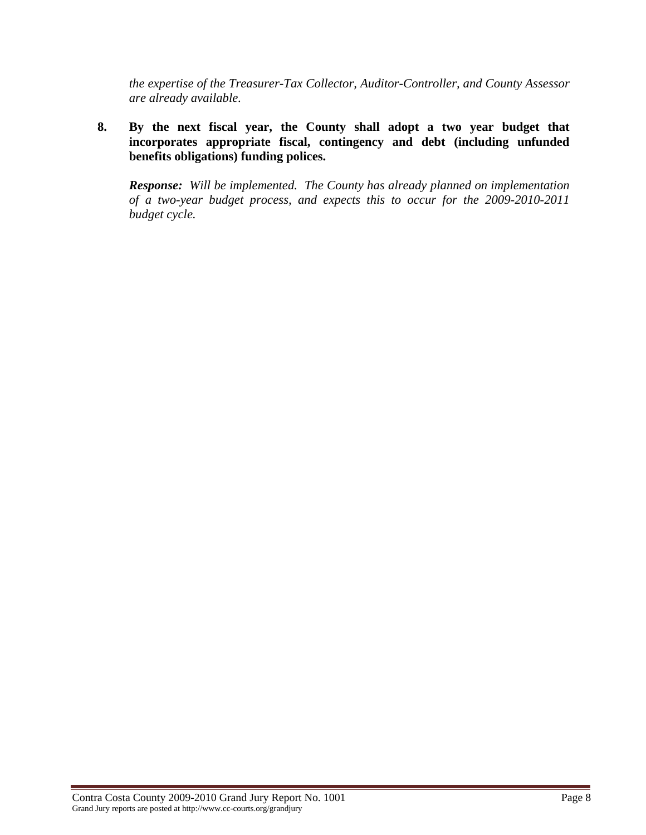*the expertise of the Treasurer-Tax Collector, Auditor-Controller, and County Assessor are already available.* 

**8. By the next fiscal year, the County shall adopt a two year budget that incorporates appropriate fiscal, contingency and debt (including unfunded benefits obligations) funding polices.** 

*Response: Will be implemented. The County has already planned on implementation of a two-year budget process, and expects this to occur for the 2009-2010-2011 budget cycle.*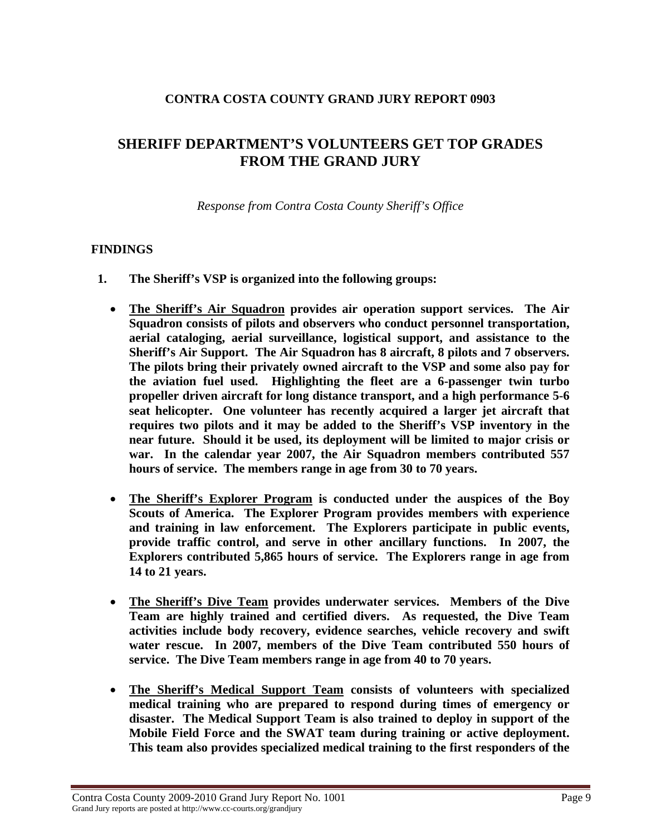## **CONTRA COSTA COUNTY GRAND JURY REPORT 0903**

# **SHERIFF DEPARTMENT'S VOLUNTEERS GET TOP GRADES FROM THE GRAND JURY**

*Response from Contra Costa County Sheriff's Office* 

#### **FINDINGS**

- **1. The Sheriff's VSP is organized into the following groups:** 
	- **The Sheriff's Air Squadron provides air operation support services. The Air Squadron consists of pilots and observers who conduct personnel transportation, aerial cataloging, aerial surveillance, logistical support, and assistance to the Sheriff's Air Support. The Air Squadron has 8 aircraft, 8 pilots and 7 observers. The pilots bring their privately owned aircraft to the VSP and some also pay for the aviation fuel used. Highlighting the fleet are a 6-passenger twin turbo propeller driven aircraft for long distance transport, and a high performance 5-6 seat helicopter. One volunteer has recently acquired a larger jet aircraft that requires two pilots and it may be added to the Sheriff's VSP inventory in the near future. Should it be used, its deployment will be limited to major crisis or war. In the calendar year 2007, the Air Squadron members contributed 557 hours of service. The members range in age from 30 to 70 years.**
	- **The Sheriff's Explorer Program is conducted under the auspices of the Boy Scouts of America. The Explorer Program provides members with experience and training in law enforcement. The Explorers participate in public events, provide traffic control, and serve in other ancillary functions. In 2007, the Explorers contributed 5,865 hours of service. The Explorers range in age from 14 to 21 years.**
	- **The Sheriff's Dive Team provides underwater services. Members of the Dive Team are highly trained and certified divers. As requested, the Dive Team activities include body recovery, evidence searches, vehicle recovery and swift water rescue. In 2007, members of the Dive Team contributed 550 hours of service. The Dive Team members range in age from 40 to 70 years.**
	- **The Sheriff's Medical Support Team consists of volunteers with specialized medical training who are prepared to respond during times of emergency or disaster. The Medical Support Team is also trained to deploy in support of the Mobile Field Force and the SWAT team during training or active deployment. This team also provides specialized medical training to the first responders of the**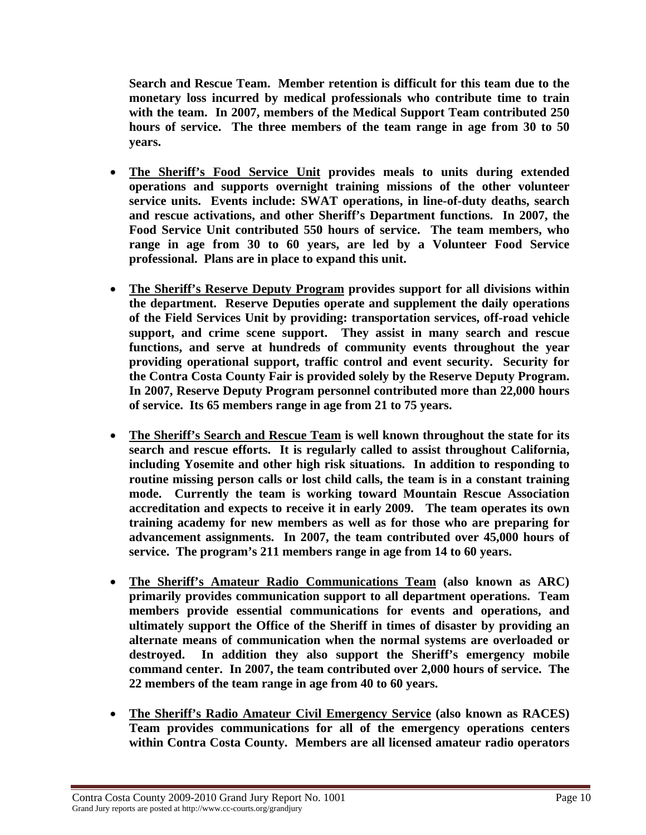**Search and Rescue Team. Member retention is difficult for this team due to the monetary loss incurred by medical professionals who contribute time to train with the team. In 2007, members of the Medical Support Team contributed 250 hours of service. The three members of the team range in age from 30 to 50 years.** 

- **The Sheriff's Food Service Unit provides meals to units during extended operations and supports overnight training missions of the other volunteer service units. Events include: SWAT operations, in line-of-duty deaths, search and rescue activations, and other Sheriff's Department functions. In 2007, the Food Service Unit contributed 550 hours of service. The team members, who range in age from 30 to 60 years, are led by a Volunteer Food Service professional. Plans are in place to expand this unit.**
- **The Sheriff's Reserve Deputy Program provides support for all divisions within the department. Reserve Deputies operate and supplement the daily operations of the Field Services Unit by providing: transportation services, off-road vehicle support, and crime scene support. They assist in many search and rescue functions, and serve at hundreds of community events throughout the year providing operational support, traffic control and event security. Security for the Contra Costa County Fair is provided solely by the Reserve Deputy Program. In 2007, Reserve Deputy Program personnel contributed more than 22,000 hours of service. Its 65 members range in age from 21 to 75 years.**
- **The Sheriff's Search and Rescue Team is well known throughout the state for its search and rescue efforts. It is regularly called to assist throughout California, including Yosemite and other high risk situations. In addition to responding to routine missing person calls or lost child calls, the team is in a constant training mode. Currently the team is working toward Mountain Rescue Association accreditation and expects to receive it in early 2009. The team operates its own training academy for new members as well as for those who are preparing for advancement assignments. In 2007, the team contributed over 45,000 hours of service. The program's 211 members range in age from 14 to 60 years.**
- **The Sheriff's Amateur Radio Communications Team (also known as ARC) primarily provides communication support to all department operations. Team members provide essential communications for events and operations, and ultimately support the Office of the Sheriff in times of disaster by providing an alternate means of communication when the normal systems are overloaded or destroyed. In addition they also support the Sheriff's emergency mobile command center. In 2007, the team contributed over 2,000 hours of service. The 22 members of the team range in age from 40 to 60 years.**
- **The Sheriff's Radio Amateur Civil Emergency Service (also known as RACES) Team provides communications for all of the emergency operations centers within Contra Costa County. Members are all licensed amateur radio operators**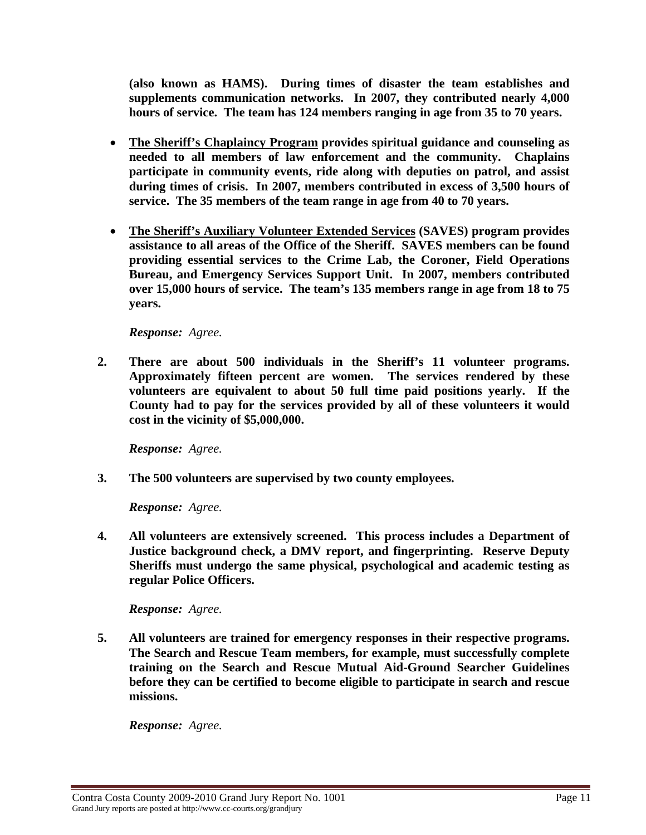**(also known as HAMS). During times of disaster the team establishes and supplements communication networks. In 2007, they contributed nearly 4,000 hours of service. The team has 124 members ranging in age from 35 to 70 years.** 

- **The Sheriff's Chaplaincy Program provides spiritual guidance and counseling as needed to all members of law enforcement and the community. Chaplains participate in community events, ride along with deputies on patrol, and assist during times of crisis. In 2007, members contributed in excess of 3,500 hours of service. The 35 members of the team range in age from 40 to 70 years.**
- **The Sheriff's Auxiliary Volunteer Extended Services (SAVES) program provides assistance to all areas of the Office of the Sheriff. SAVES members can be found providing essential services to the Crime Lab, the Coroner, Field Operations Bureau, and Emergency Services Support Unit. In 2007, members contributed over 15,000 hours of service. The team's 135 members range in age from 18 to 75 years.**

#### *Response: Agree.*

**2. There are about 500 individuals in the Sheriff's 11 volunteer programs. Approximately fifteen percent are women. The services rendered by these volunteers are equivalent to about 50 full time paid positions yearly. If the County had to pay for the services provided by all of these volunteers it would cost in the vicinity of \$5,000,000.** 

*Response: Agree.* 

**3. The 500 volunteers are supervised by two county employees.** 

*Response: Agree.* 

**4. All volunteers are extensively screened. This process includes a Department of Justice background check, a DMV report, and fingerprinting. Reserve Deputy Sheriffs must undergo the same physical, psychological and academic testing as regular Police Officers.** 

*Response: Agree.* 

**5. All volunteers are trained for emergency responses in their respective programs. The Search and Rescue Team members, for example, must successfully complete training on the Search and Rescue Mutual Aid-Ground Searcher Guidelines before they can be certified to become eligible to participate in search and rescue missions.** 

*Response: Agree.*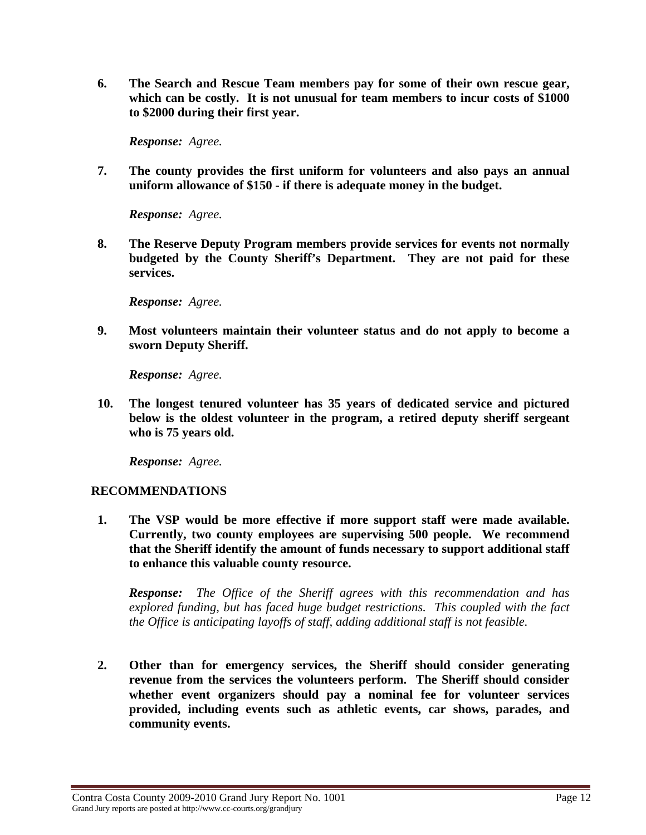**6. The Search and Rescue Team members pay for some of their own rescue gear, which can be costly. It is not unusual for team members to incur costs of \$1000 to \$2000 during their first year.** 

*Response: Agree.* 

**7. The county provides the first uniform for volunteers and also pays an annual uniform allowance of \$150 - if there is adequate money in the budget.** 

*Response: Agree.* 

**8. The Reserve Deputy Program members provide services for events not normally budgeted by the County Sheriff's Department. They are not paid for these services.** 

*Response: Agree.* 

**9. Most volunteers maintain their volunteer status and do not apply to become a sworn Deputy Sheriff.** 

*Response: Agree.* 

**10. The longest tenured volunteer has 35 years of dedicated service and pictured below is the oldest volunteer in the program, a retired deputy sheriff sergeant who is 75 years old.** 

*Response: Agree.* 

## **RECOMMENDATIONS**

**1. The VSP would be more effective if more support staff were made available. Currently, two county employees are supervising 500 people. We recommend that the Sheriff identify the amount of funds necessary to support additional staff to enhance this valuable county resource.** 

*Response: The Office of the Sheriff agrees with this recommendation and has explored funding, but has faced huge budget restrictions. This coupled with the fact the Office is anticipating layoffs of staff, adding additional staff is not feasible.* 

**2. Other than for emergency services, the Sheriff should consider generating revenue from the services the volunteers perform. The Sheriff should consider whether event organizers should pay a nominal fee for volunteer services provided, including events such as athletic events, car shows, parades, and community events.**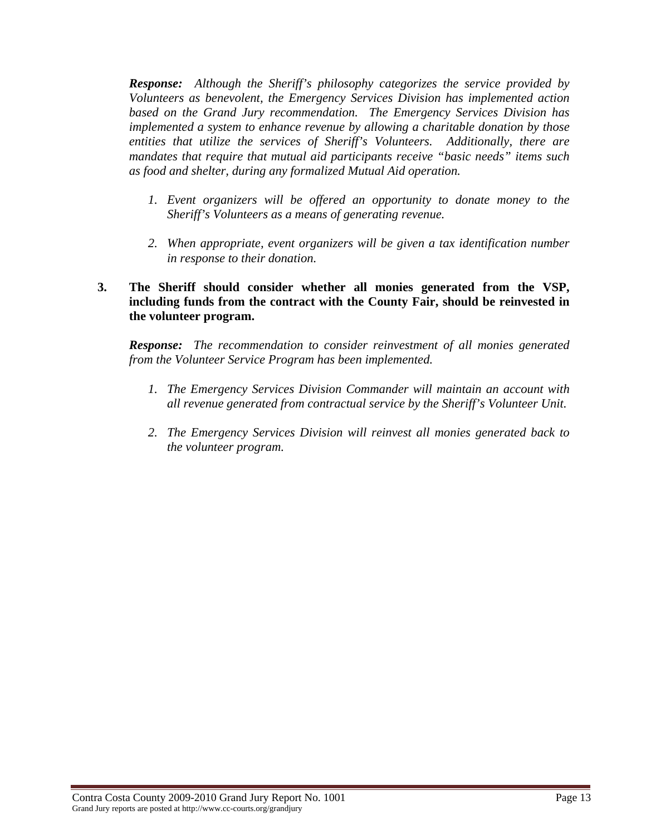*Response: Although the Sheriff's philosophy categorizes the service provided by Volunteers as benevolent, the Emergency Services Division has implemented action based on the Grand Jury recommendation. The Emergency Services Division has implemented a system to enhance revenue by allowing a charitable donation by those entities that utilize the services of Sheriff's Volunteers. Additionally, there are mandates that require that mutual aid participants receive "basic needs" items such as food and shelter, during any formalized Mutual Aid operation.* 

- *1. Event organizers will be offered an opportunity to donate money to the Sheriff's Volunteers as a means of generating revenue.*
- *2. When appropriate, event organizers will be given a tax identification number in response to their donation.*

### **3. The Sheriff should consider whether all monies generated from the VSP, including funds from the contract with the County Fair, should be reinvested in the volunteer program.**

*Response: The recommendation to consider reinvestment of all monies generated from the Volunteer Service Program has been implemented.* 

- *1. The Emergency Services Division Commander will maintain an account with all revenue generated from contractual service by the Sheriff's Volunteer Unit.*
- *2. The Emergency Services Division will reinvest all monies generated back to the volunteer program.*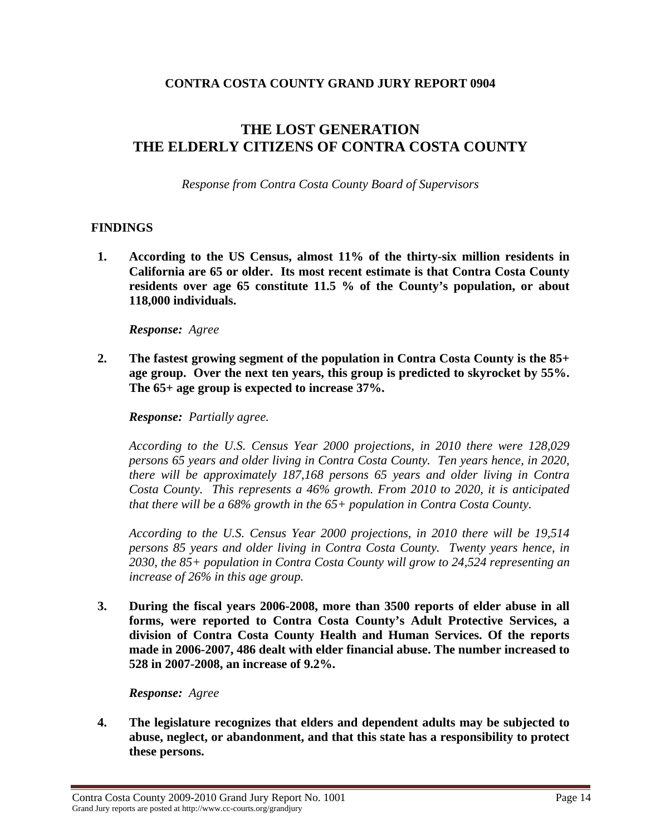## **CONTRA COSTA COUNTY GRAND JURY REPORT 0904**

# **THE LOST GENERATION THE ELDERLY CITIZENS OF CONTRA COSTA COUNTY**

*Response from Contra Costa County Board of Supervisors* 

## **FINDINGS**

**1. According to the US Census, almost 11% of the thirty-six million residents in California are 65 or older. Its most recent estimate is that Contra Costa County residents over age 65 constitute 11.5 % of the County's population, or about 118,000 individuals.** 

*Response: Agree*

**2. The fastest growing segment of the population in Contra Costa County is the 85+ age group. Over the next ten years, this group is predicted to skyrocket by 55%. The 65+ age group is expected to increase 37%.** 

*Response: Partially agree.* 

*According to the U.S. Census Year 2000 projections, in 2010 there were 128,029 persons 65 years and older living in Contra Costa County. Ten years hence, in 2020, there will be approximately 187,168 persons 65 years and older living in Contra Costa County. This represents a 46% growth. From 2010 to 2020, it is anticipated that there will be a 68% growth in the 65+ population in Contra Costa County.* 

*According to the U.S. Census Year 2000 projections, in 2010 there will be 19,514 persons 85 years and older living in Contra Costa County. Twenty years hence, in 2030, the 85+ population in Contra Costa County will grow to 24,524 representing an increase of 26% in this age group.* 

**3. During the fiscal years 2006-2008, more than 3500 reports of elder abuse in all forms, were reported to Contra Costa County's Adult Protective Services, a division of Contra Costa County Health and Human Services. Of the reports made in 2006-2007, 486 dealt with elder financial abuse. The number increased to 528 in 2007-2008, an increase of 9.2%.** 

*Response: Agree*

**4. The legislature recognizes that elders and dependent adults may be subjected to abuse, neglect, or abandonment, and that this state has a responsibility to protect these persons.**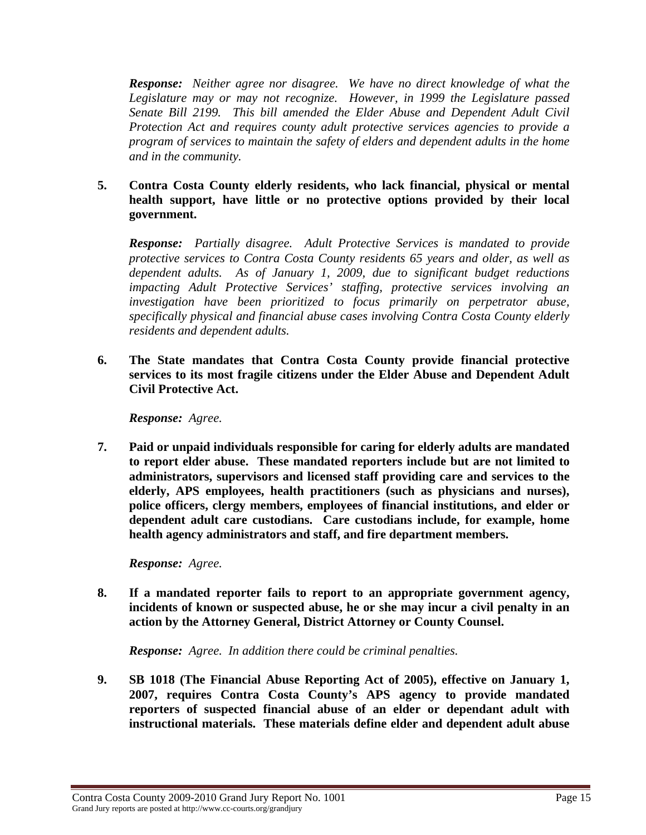*Response: Neither agree nor disagree. We have no direct knowledge of what the Legislature may or may not recognize. However, in 1999 the Legislature passed Senate Bill 2199. This bill amended the Elder Abuse and Dependent Adult Civil Protection Act and requires county adult protective services agencies to provide a program of services to maintain the safety of elders and dependent adults in the home and in the community.* 

**5. Contra Costa County elderly residents, who lack financial, physical or mental health support, have little or no protective options provided by their local government.** 

*Response: Partially disagree. Adult Protective Services is mandated to provide protective services to Contra Costa County residents 65 years and older, as well as dependent adults. As of January 1, 2009, due to significant budget reductions impacting Adult Protective Services' staffing, protective services involving an investigation have been prioritized to focus primarily on perpetrator abuse, specifically physical and financial abuse cases involving Contra Costa County elderly residents and dependent adults.* 

**6. The State mandates that Contra Costa County provide financial protective services to its most fragile citizens under the Elder Abuse and Dependent Adult Civil Protective Act.** 

*Response: Agree.*

**7. Paid or unpaid individuals responsible for caring for elderly adults are mandated to report elder abuse. These mandated reporters include but are not limited to administrators, supervisors and licensed staff providing care and services to the elderly, APS employees, health practitioners (such as physicians and nurses), police officers, clergy members, employees of financial institutions, and elder or dependent adult care custodians. Care custodians include, for example, home health agency administrators and staff, and fire department members.** 

*Response: Agree.* 

**8. If a mandated reporter fails to report to an appropriate government agency, incidents of known or suspected abuse, he or she may incur a civil penalty in an action by the Attorney General, District Attorney or County Counsel.** 

 *Response: Agree. In addition there could be criminal penalties.* 

**9. SB 1018 (The Financial Abuse Reporting Act of 2005), effective on January 1, 2007, requires Contra Costa County's APS agency to provide mandated reporters of suspected financial abuse of an elder or dependant adult with instructional materials. These materials define elder and dependent adult abuse**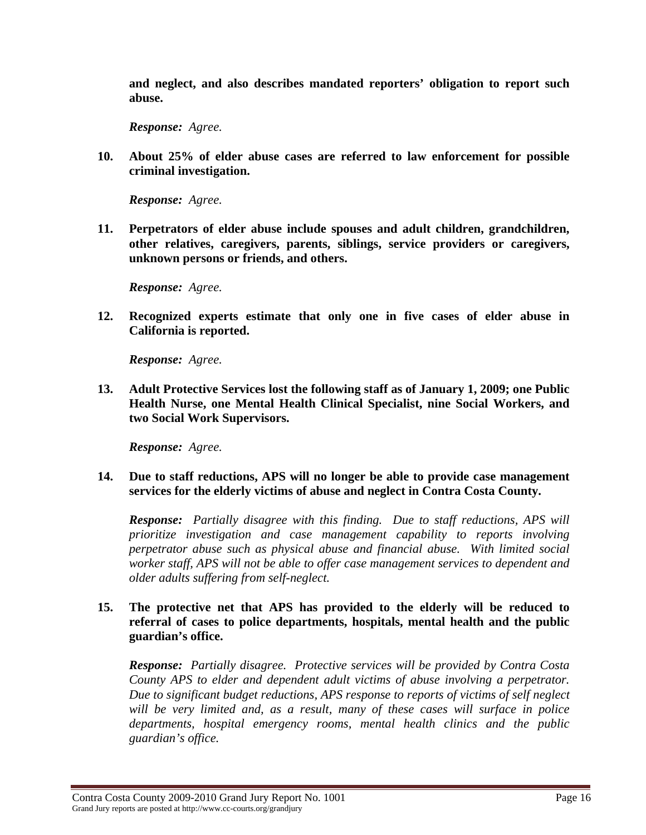**and neglect, and also describes mandated reporters' obligation to report such abuse.** 

*Response: Agree.* 

**10. About 25% of elder abuse cases are referred to law enforcement for possible criminal investigation.** 

*Response: Agree.* 

**11. Perpetrators of elder abuse include spouses and adult children, grandchildren, other relatives, caregivers, parents, siblings, service providers or caregivers, unknown persons or friends, and others.** 

*Response: Agree.* 

**12. Recognized experts estimate that only one in five cases of elder abuse in California is reported.** 

*Response: Agree.* 

**13. Adult Protective Services lost the following staff as of January 1, 2009; one Public Health Nurse, one Mental Health Clinical Specialist, nine Social Workers, and two Social Work Supervisors.** 

*Response: Agree.* 

**14. Due to staff reductions, APS will no longer be able to provide case management services for the elderly victims of abuse and neglect in Contra Costa County.** 

*Response: Partially disagree with this finding. Due to staff reductions, APS will prioritize investigation and case management capability to reports involving perpetrator abuse such as physical abuse and financial abuse. With limited social worker staff, APS will not be able to offer case management services to dependent and older adults suffering from self-neglect.* 

#### **15. The protective net that APS has provided to the elderly will be reduced to referral of cases to police departments, hospitals, mental health and the public guardian's office.**

*Response: Partially disagree. Protective services will be provided by Contra Costa County APS to elder and dependent adult victims of abuse involving a perpetrator. Due to significant budget reductions, APS response to reports of victims of self neglect*  will be very limited and, as a result, many of these cases will surface in police *departments, hospital emergency rooms, mental health clinics and the public guardian's office.*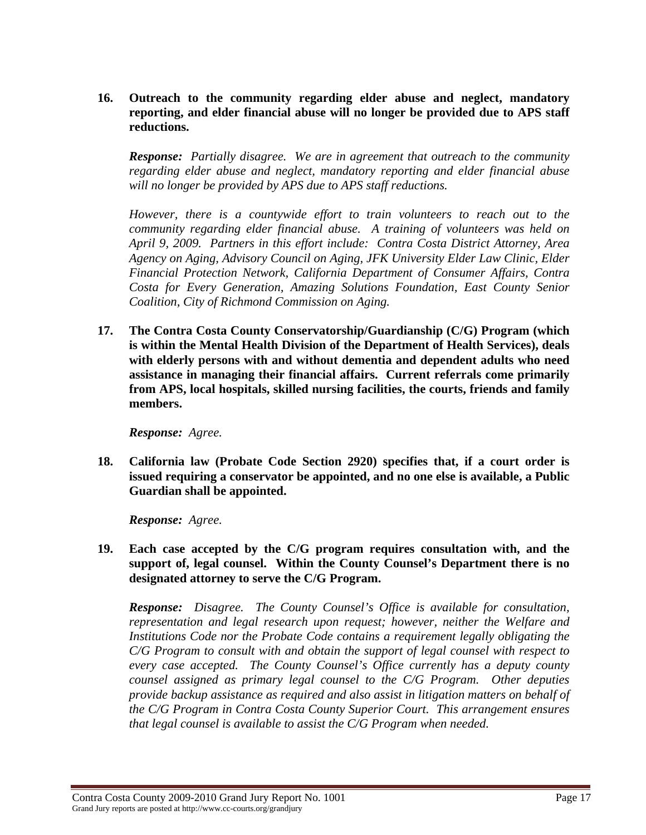**16. Outreach to the community regarding elder abuse and neglect, mandatory reporting, and elder financial abuse will no longer be provided due to APS staff reductions.** 

*Response: Partially disagree. We are in agreement that outreach to the community regarding elder abuse and neglect, mandatory reporting and elder financial abuse will no longer be provided by APS due to APS staff reductions.* 

*However, there is a countywide effort to train volunteers to reach out to the community regarding elder financial abuse. A training of volunteers was held on April 9, 2009. Partners in this effort include: Contra Costa District Attorney, Area Agency on Aging, Advisory Council on Aging, JFK University Elder Law Clinic, Elder Financial Protection Network, California Department of Consumer Affairs, Contra Costa for Every Generation, Amazing Solutions Foundation, East County Senior Coalition, City of Richmond Commission on Aging.* 

**17. The Contra Costa County Conservatorship/Guardianship (C/G) Program (which is within the Mental Health Division of the Department of Health Services), deals with elderly persons with and without dementia and dependent adults who need assistance in managing their financial affairs. Current referrals come primarily from APS, local hospitals, skilled nursing facilities, the courts, friends and family members.** 

*Response: Agree.* 

**18. California law (Probate Code Section 2920) specifies that, if a court order is issued requiring a conservator be appointed, and no one else is available, a Public Guardian shall be appointed.** 

*Response: Agree.* 

**19. Each case accepted by the C/G program requires consultation with, and the support of, legal counsel. Within the County Counsel's Department there is no designated attorney to serve the C/G Program.** 

*Response: Disagree. The County Counsel's Office is available for consultation, representation and legal research upon request; however, neither the Welfare and Institutions Code nor the Probate Code contains a requirement legally obligating the C/G Program to consult with and obtain the support of legal counsel with respect to every case accepted. The County Counsel's Office currently has a deputy county counsel assigned as primary legal counsel to the C/G Program. Other deputies provide backup assistance as required and also assist in litigation matters on behalf of the C/G Program in Contra Costa County Superior Court. This arrangement ensures that legal counsel is available to assist the C/G Program when needed.*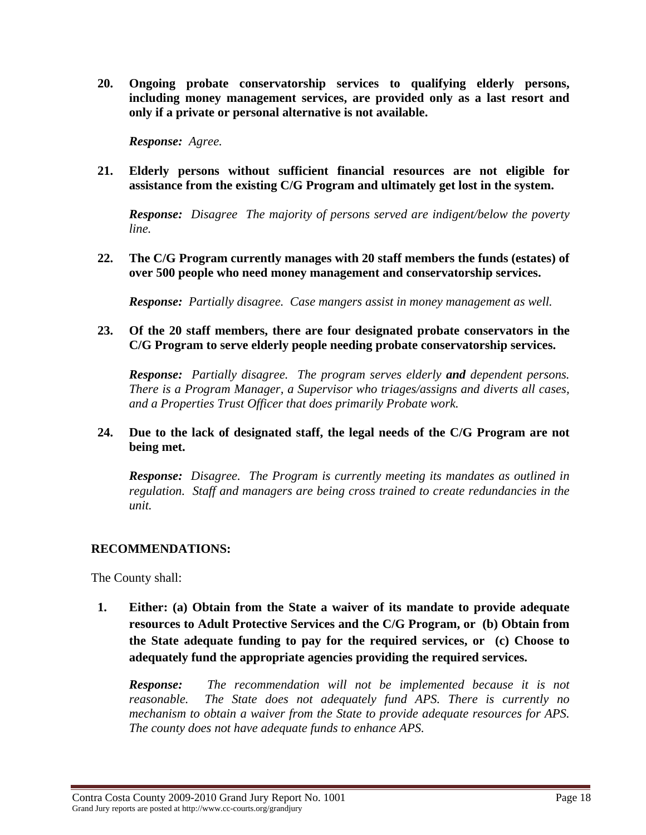**20. Ongoing probate conservatorship services to qualifying elderly persons, including money management services, are provided only as a last resort and only if a private or personal alternative is not available.** 

*Response: Agree.* 

**21. Elderly persons without sufficient financial resources are not eligible for assistance from the existing C/G Program and ultimately get lost in the system.** 

*Response: Disagree The majority of persons served are indigent/below the poverty line.* 

**22. The C/G Program currently manages with 20 staff members the funds (estates) of over 500 people who need money management and conservatorship services.** 

*Response: Partially disagree. Case mangers assist in money management as well.* 

**23. Of the 20 staff members, there are four designated probate conservators in the C/G Program to serve elderly people needing probate conservatorship services.** 

*Response: Partially disagree. The program serves elderly and dependent persons. There is a Program Manager, a Supervisor who triages/assigns and diverts all cases, and a Properties Trust Officer that does primarily Probate work.* 

## **24. Due to the lack of designated staff, the legal needs of the C/G Program are not being met.**

*Response: Disagree. The Program is currently meeting its mandates as outlined in regulation. Staff and managers are being cross trained to create redundancies in the unit.* 

## **RECOMMENDATIONS:**

The County shall:

**1. Either: (a) Obtain from the State a waiver of its mandate to provide adequate resources to Adult Protective Services and the C/G Program, or (b) Obtain from the State adequate funding to pay for the required services, or (c) Choose to adequately fund the appropriate agencies providing the required services.** 

*Response: The recommendation will not be implemented because it is not reasonable. The State does not adequately fund APS. There is currently no mechanism to obtain a waiver from the State to provide adequate resources for APS. The county does not have adequate funds to enhance APS.*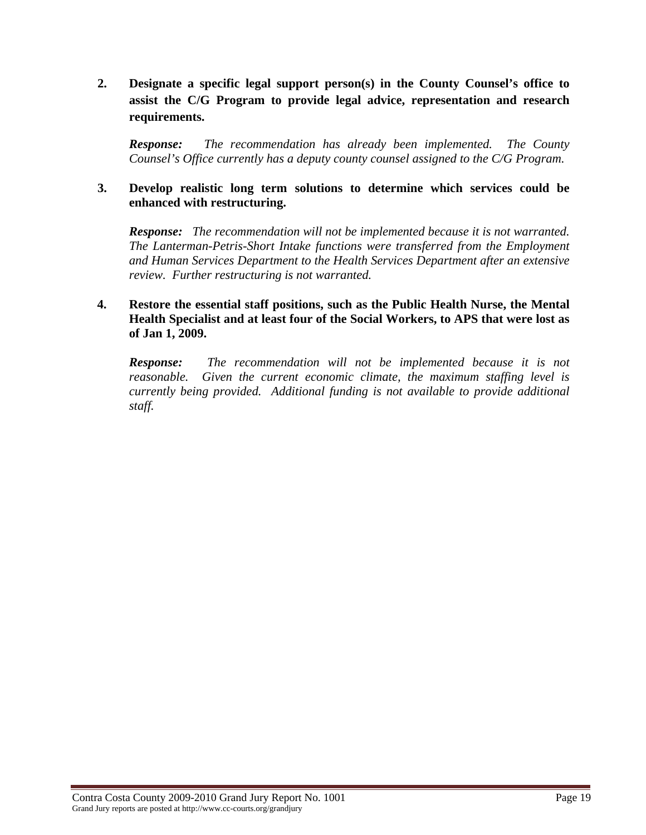**2. Designate a specific legal support person(s) in the County Counsel's office to assist the C/G Program to provide legal advice, representation and research requirements.** 

*Response: The recommendation has already been implemented. The County Counsel's Office currently has a deputy county counsel assigned to the C/G Program.* 

#### **3. Develop realistic long term solutions to determine which services could be enhanced with restructuring.**

*Response: The recommendation will not be implemented because it is not warranted. The Lanterman-Petris-Short Intake functions were transferred from the Employment and Human Services Department to the Health Services Department after an extensive review. Further restructuring is not warranted.* 

### **4. Restore the essential staff positions, such as the Public Health Nurse, the Mental Health Specialist and at least four of the Social Workers, to APS that were lost as of Jan 1, 2009.**

*Response: The recommendation will not be implemented because it is not reasonable. Given the current economic climate, the maximum staffing level is currently being provided. Additional funding is not available to provide additional staff.*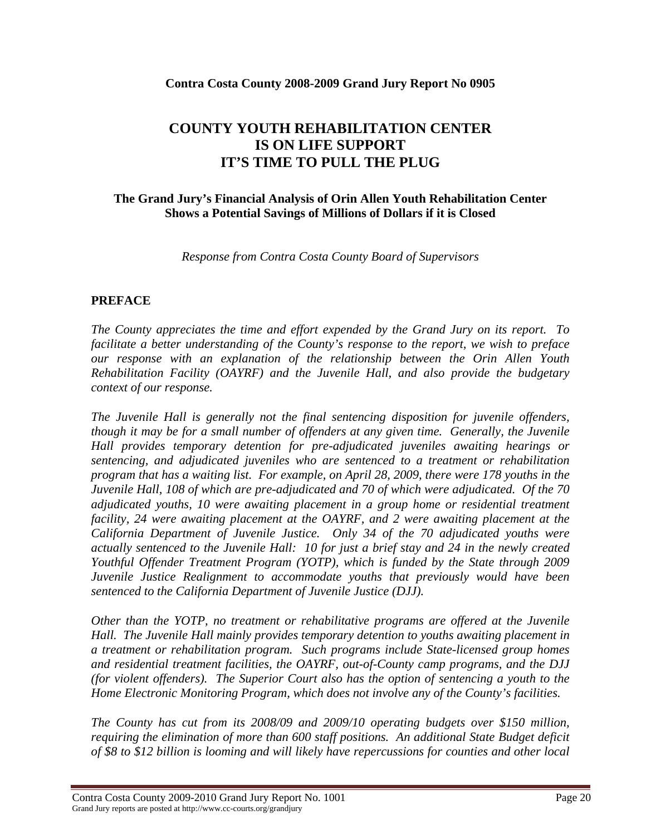#### **Contra Costa County 2008-2009 Grand Jury Report No 0905**

# **COUNTY YOUTH REHABILITATION CENTER IS ON LIFE SUPPORT IT'S TIME TO PULL THE PLUG**

### **The Grand Jury's Financial Analysis of Orin Allen Youth Rehabilitation Center Shows a Potential Savings of Millions of Dollars if it is Closed**

*Response from Contra Costa County Board of Supervisors* 

## **PREFACE**

*The County appreciates the time and effort expended by the Grand Jury on its report. To facilitate a better understanding of the County's response to the report, we wish to preface our response with an explanation of the relationship between the Orin Allen Youth Rehabilitation Facility (OAYRF) and the Juvenile Hall, and also provide the budgetary context of our response.* 

*The Juvenile Hall is generally not the final sentencing disposition for juvenile offenders, though it may be for a small number of offenders at any given time. Generally, the Juvenile Hall provides temporary detention for pre-adjudicated juveniles awaiting hearings or sentencing, and adjudicated juveniles who are sentenced to a treatment or rehabilitation program that has a waiting list. For example, on April 28, 2009, there were 178 youths in the Juvenile Hall, 108 of which are pre-adjudicated and 70 of which were adjudicated. Of the 70 adjudicated youths, 10 were awaiting placement in a group home or residential treatment facility, 24 were awaiting placement at the OAYRF, and 2 were awaiting placement at the California Department of Juvenile Justice. Only 34 of the 70 adjudicated youths were actually sentenced to the Juvenile Hall: 10 for just a brief stay and 24 in the newly created Youthful Offender Treatment Program (YOTP), which is funded by the State through 2009 Juvenile Justice Realignment to accommodate youths that previously would have been sentenced to the California Department of Juvenile Justice (DJJ).* 

*Other than the YOTP, no treatment or rehabilitative programs are offered at the Juvenile Hall. The Juvenile Hall mainly provides temporary detention to youths awaiting placement in a treatment or rehabilitation program. Such programs include State-licensed group homes and residential treatment facilities, the OAYRF, out-of-County camp programs, and the DJJ (for violent offenders). The Superior Court also has the option of sentencing a youth to the Home Electronic Monitoring Program, which does not involve any of the County's facilities.* 

*The County has cut from its 2008/09 and 2009/10 operating budgets over \$150 million, requiring the elimination of more than 600 staff positions. An additional State Budget deficit of \$8 to \$12 billion is looming and will likely have repercussions for counties and other local*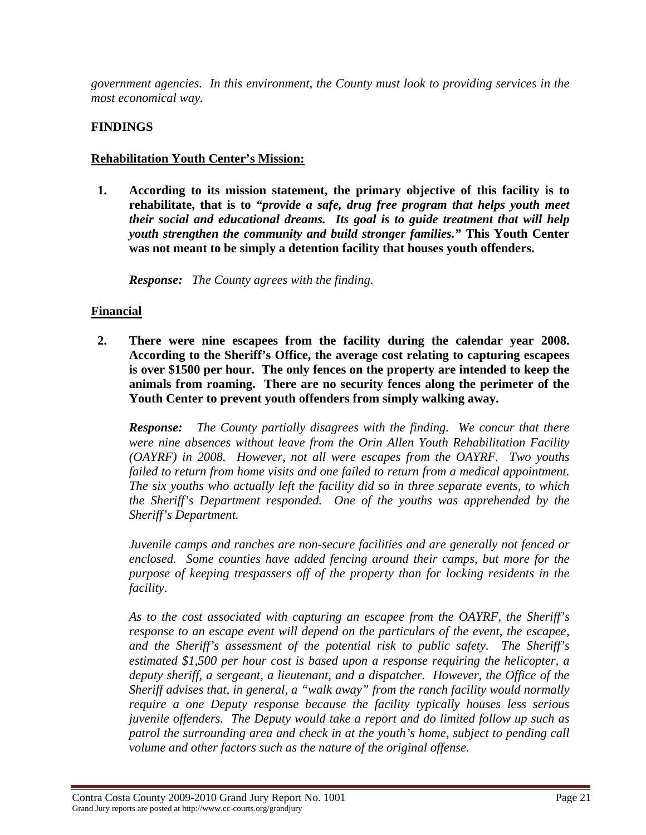*government agencies. In this environment, the County must look to providing services in the most economical way.* 

## **FINDINGS**

#### **Rehabilitation Youth Center's Mission:**

**1. According to its mission statement, the primary objective of this facility is to rehabilitate, that is to** *"provide a safe, drug free program that helps youth meet their social and educational dreams. Its goal is to guide treatment that will help youth strengthen the community and build stronger families."* **This Youth Center was not meant to be simply a detention facility that houses youth offenders.** 

*Response: The County agrees with the finding.* 

## **Financial**

**2. There were nine escapees from the facility during the calendar year 2008. According to the Sheriff's Office, the average cost relating to capturing escapees is over \$1500 per hour. The only fences on the property are intended to keep the animals from roaming. There are no security fences along the perimeter of the Youth Center to prevent youth offenders from simply walking away.** 

*Response: The County partially disagrees with the finding. We concur that there were nine absences without leave from the Orin Allen Youth Rehabilitation Facility (OAYRF) in 2008. However, not all were escapes from the OAYRF. Two youths failed to return from home visits and one failed to return from a medical appointment. The six youths who actually left the facility did so in three separate events, to which the Sheriff's Department responded. One of the youths was apprehended by the Sheriff's Department.* 

*Juvenile camps and ranches are non-secure facilities and are generally not fenced or enclosed. Some counties have added fencing around their camps, but more for the purpose of keeping trespassers off of the property than for locking residents in the facility.* 

*As to the cost associated with capturing an escapee from the OAYRF, the Sheriff's response to an escape event will depend on the particulars of the event, the escapee, and the Sheriff's assessment of the potential risk to public safety. The Sheriff's estimated \$1,500 per hour cost is based upon a response requiring the helicopter, a deputy sheriff, a sergeant, a lieutenant, and a dispatcher. However, the Office of the Sheriff advises that, in general, a "walk away" from the ranch facility would normally require a one Deputy response because the facility typically houses less serious juvenile offenders. The Deputy would take a report and do limited follow up such as patrol the surrounding area and check in at the youth's home, subject to pending call volume and other factors such as the nature of the original offense.*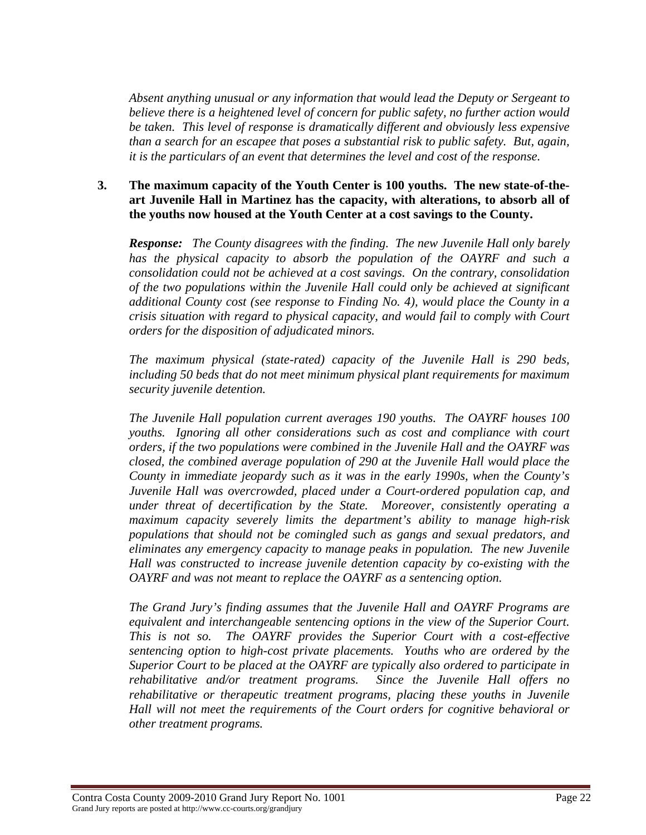*Absent anything unusual or any information that would lead the Deputy or Sergeant to believe there is a heightened level of concern for public safety, no further action would be taken. This level of response is dramatically different and obviously less expensive than a search for an escapee that poses a substantial risk to public safety. But, again, it is the particulars of an event that determines the level and cost of the response.* 

#### **3. The maximum capacity of the Youth Center is 100 youths. The new state-of-theart Juvenile Hall in Martinez has the capacity, with alterations, to absorb all of the youths now housed at the Youth Center at a cost savings to the County.**

*Response: The County disagrees with the finding. The new Juvenile Hall only barely has the physical capacity to absorb the population of the OAYRF and such a consolidation could not be achieved at a cost savings. On the contrary, consolidation of the two populations within the Juvenile Hall could only be achieved at significant additional County cost (see response to Finding No. 4), would place the County in a crisis situation with regard to physical capacity, and would fail to comply with Court orders for the disposition of adjudicated minors.* 

*The maximum physical (state-rated) capacity of the Juvenile Hall is 290 beds, including 50 beds that do not meet minimum physical plant requirements for maximum security juvenile detention.* 

*The Juvenile Hall population current averages 190 youths. The OAYRF houses 100 youths. Ignoring all other considerations such as cost and compliance with court orders, if the two populations were combined in the Juvenile Hall and the OAYRF was closed, the combined average population of 290 at the Juvenile Hall would place the County in immediate jeopardy such as it was in the early 1990s, when the County's Juvenile Hall was overcrowded, placed under a Court-ordered population cap, and under threat of decertification by the State. Moreover, consistently operating a maximum capacity severely limits the department's ability to manage high-risk populations that should not be comingled such as gangs and sexual predators, and eliminates any emergency capacity to manage peaks in population. The new Juvenile Hall was constructed to increase juvenile detention capacity by co-existing with the OAYRF and was not meant to replace the OAYRF as a sentencing option.* 

*The Grand Jury's finding assumes that the Juvenile Hall and OAYRF Programs are equivalent and interchangeable sentencing options in the view of the Superior Court. This is not so. The OAYRF provides the Superior Court with a cost-effective sentencing option to high-cost private placements. Youths who are ordered by the Superior Court to be placed at the OAYRF are typically also ordered to participate in rehabilitative and/or treatment programs. Since the Juvenile Hall offers no rehabilitative or therapeutic treatment programs, placing these youths in Juvenile Hall will not meet the requirements of the Court orders for cognitive behavioral or other treatment programs.*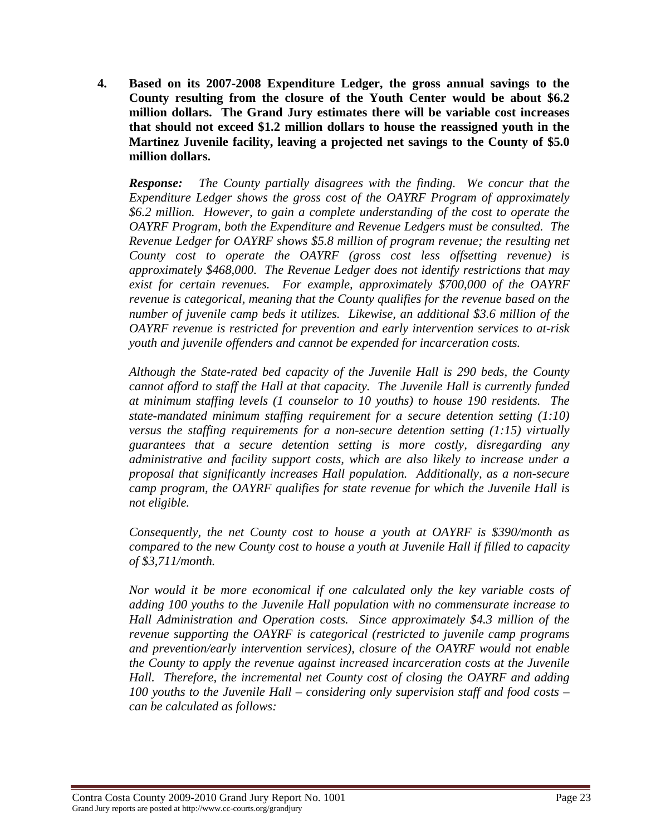**4. Based on its 2007-2008 Expenditure Ledger, the gross annual savings to the County resulting from the closure of the Youth Center would be about \$6.2 million dollars. The Grand Jury estimates there will be variable cost increases that should not exceed \$1.2 million dollars to house the reassigned youth in the Martinez Juvenile facility, leaving a projected net savings to the County of \$5.0 million dollars.** 

*Response: The County partially disagrees with the finding. We concur that the Expenditure Ledger shows the gross cost of the OAYRF Program of approximately \$6.2 million. However, to gain a complete understanding of the cost to operate the OAYRF Program, both the Expenditure and Revenue Ledgers must be consulted. The Revenue Ledger for OAYRF shows \$5.8 million of program revenue; the resulting net County cost to operate the OAYRF (gross cost less offsetting revenue) is approximately \$468,000. The Revenue Ledger does not identify restrictions that may exist for certain revenues. For example, approximately \$700,000 of the OAYRF revenue is categorical, meaning that the County qualifies for the revenue based on the number of juvenile camp beds it utilizes. Likewise, an additional \$3.6 million of the OAYRF revenue is restricted for prevention and early intervention services to at-risk youth and juvenile offenders and cannot be expended for incarceration costs.* 

*Although the State-rated bed capacity of the Juvenile Hall is 290 beds, the County cannot afford to staff the Hall at that capacity. The Juvenile Hall is currently funded at minimum staffing levels (1 counselor to 10 youths) to house 190 residents. The state-mandated minimum staffing requirement for a secure detention setting (1:10) versus the staffing requirements for a non-secure detention setting (1:15) virtually guarantees that a secure detention setting is more costly, disregarding any administrative and facility support costs, which are also likely to increase under a proposal that significantly increases Hall population. Additionally, as a non-secure camp program, the OAYRF qualifies for state revenue for which the Juvenile Hall is not eligible.* 

*Consequently, the net County cost to house a youth at OAYRF is \$390/month as compared to the new County cost to house a youth at Juvenile Hall if filled to capacity of \$3,711/month.* 

*Nor would it be more economical if one calculated only the key variable costs of adding 100 youths to the Juvenile Hall population with no commensurate increase to Hall Administration and Operation costs. Since approximately \$4.3 million of the revenue supporting the OAYRF is categorical (restricted to juvenile camp programs and prevention/early intervention services), closure of the OAYRF would not enable the County to apply the revenue against increased incarceration costs at the Juvenile Hall. Therefore, the incremental net County cost of closing the OAYRF and adding 100 youths to the Juvenile Hall – considering only supervision staff and food costs – can be calculated as follows:*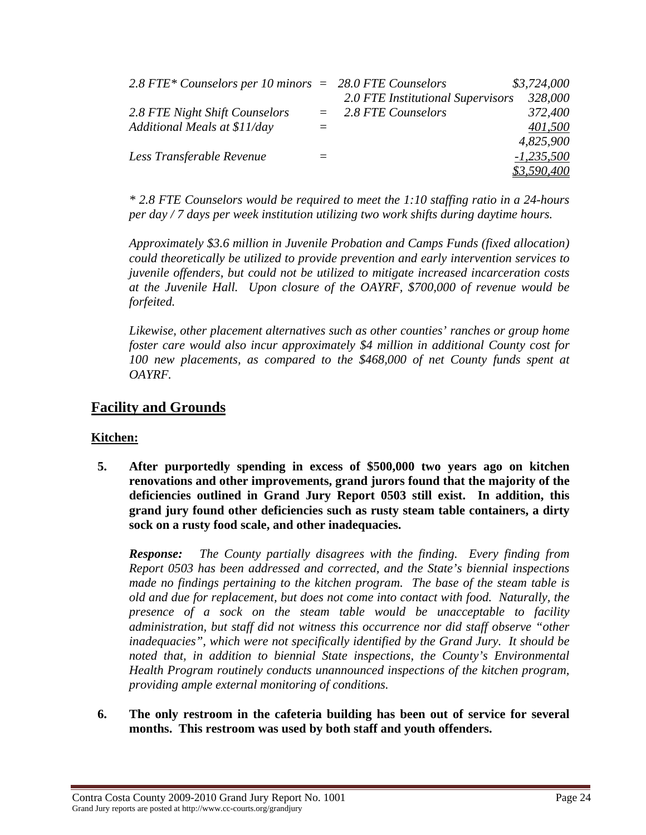| 2.8 FTE* Counselors per 10 minors $= 28.0$ FTE Counselors |                                   | \$3,724,000  |
|-----------------------------------------------------------|-----------------------------------|--------------|
|                                                           | 2.0 FTE Institutional Supervisors | 328,000      |
| 2.8 FTE Night Shift Counselors                            | $=$ 2.8 FTE Counselors            | 372,400      |
| Additional Meals at \$11/day                              |                                   | 401,500      |
|                                                           |                                   | 4,825,900    |
| Less Transferable Revenue                                 |                                   | $-1,235,500$ |
|                                                           |                                   | \$3,590,400  |

*\* 2.8 FTE Counselors would be required to meet the 1:10 staffing ratio in a 24-hours per day / 7 days per week institution utilizing two work shifts during daytime hours.* 

*Approximately \$3.6 million in Juvenile Probation and Camps Funds (fixed allocation) could theoretically be utilized to provide prevention and early intervention services to juvenile offenders, but could not be utilized to mitigate increased incarceration costs at the Juvenile Hall. Upon closure of the OAYRF, \$700,000 of revenue would be forfeited.* 

*Likewise, other placement alternatives such as other counties' ranches or group home foster care would also incur approximately \$4 million in additional County cost for*  100 new placements, as compared to the \$468,000 of net County funds spent at *OAYRF.* 

## **Facility and Grounds**

## **Kitchen:**

**5. After purportedly spending in excess of \$500,000 two years ago on kitchen renovations and other improvements, grand jurors found that the majority of the deficiencies outlined in Grand Jury Report 0503 still exist. In addition, this grand jury found other deficiencies such as rusty steam table containers, a dirty sock on a rusty food scale, and other inadequacies.** 

*Response: The County partially disagrees with the finding. Every finding from Report 0503 has been addressed and corrected, and the State's biennial inspections made no findings pertaining to the kitchen program. The base of the steam table is old and due for replacement, but does not come into contact with food. Naturally, the presence of a sock on the steam table would be unacceptable to facility administration, but staff did not witness this occurrence nor did staff observe "other inadequacies", which were not specifically identified by the Grand Jury. It should be noted that, in addition to biennial State inspections, the County's Environmental Health Program routinely conducts unannounced inspections of the kitchen program, providing ample external monitoring of conditions.* 

**6. The only restroom in the cafeteria building has been out of service for several months. This restroom was used by both staff and youth offenders.**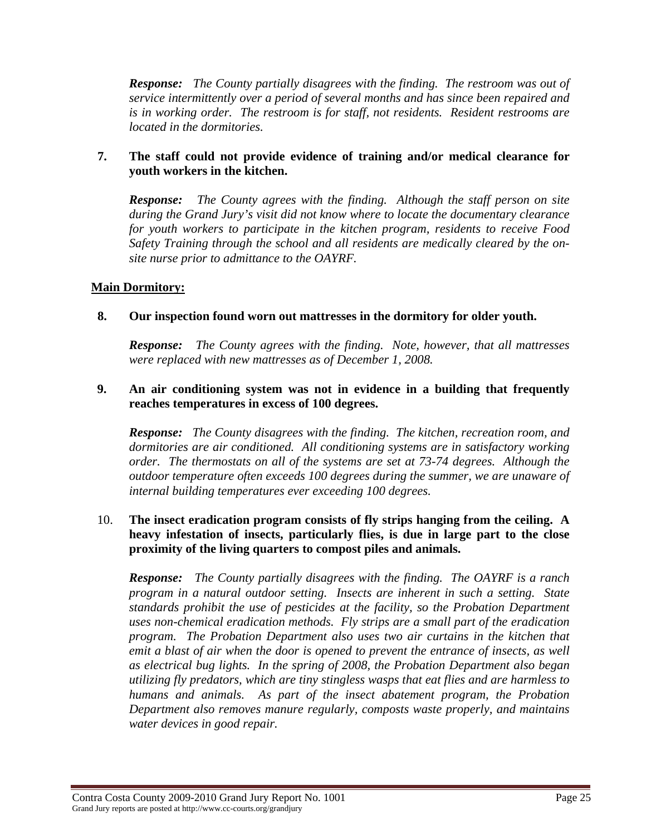*Response: The County partially disagrees with the finding. The restroom was out of service intermittently over a period of several months and has since been repaired and is in working order. The restroom is for staff, not residents. Resident restrooms are located in the dormitories.* 

#### **7. The staff could not provide evidence of training and/or medical clearance for youth workers in the kitchen.**

*Response: The County agrees with the finding. Although the staff person on site during the Grand Jury's visit did not know where to locate the documentary clearance for youth workers to participate in the kitchen program, residents to receive Food Safety Training through the school and all residents are medically cleared by the onsite nurse prior to admittance to the OAYRF.* 

## **Main Dormitory:**

## **8. Our inspection found worn out mattresses in the dormitory for older youth.**

*Response: The County agrees with the finding. Note, however, that all mattresses were replaced with new mattresses as of December 1, 2008.* 

## **9. An air conditioning system was not in evidence in a building that frequently reaches temperatures in excess of 100 degrees.**

*Response: The County disagrees with the finding. The kitchen, recreation room, and dormitories are air conditioned. All conditioning systems are in satisfactory working order. The thermostats on all of the systems are set at 73-74 degrees. Although the outdoor temperature often exceeds 100 degrees during the summer, we are unaware of internal building temperatures ever exceeding 100 degrees.* 

## 10. **The insect eradication program consists of fly strips hanging from the ceiling. A heavy infestation of insects, particularly flies, is due in large part to the close proximity of the living quarters to compost piles and animals.**

*Response: The County partially disagrees with the finding. The OAYRF is a ranch program in a natural outdoor setting. Insects are inherent in such a setting. State standards prohibit the use of pesticides at the facility, so the Probation Department uses non-chemical eradication methods. Fly strips are a small part of the eradication program. The Probation Department also uses two air curtains in the kitchen that emit a blast of air when the door is opened to prevent the entrance of insects, as well as electrical bug lights. In the spring of 2008, the Probation Department also began utilizing fly predators, which are tiny stingless wasps that eat flies and are harmless to humans and animals. As part of the insect abatement program, the Probation Department also removes manure regularly, composts waste properly, and maintains water devices in good repair.*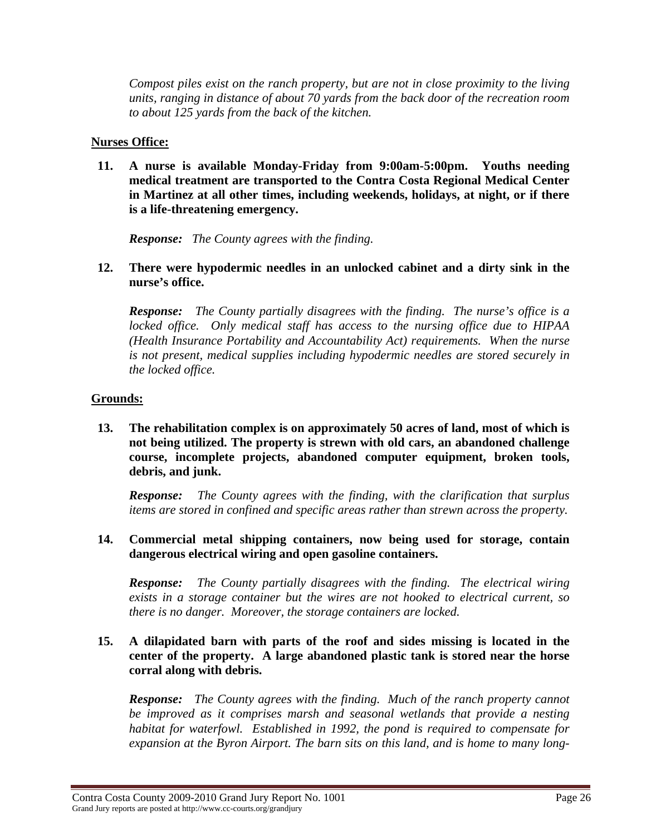*Compost piles exist on the ranch property, but are not in close proximity to the living units, ranging in distance of about 70 yards from the back door of the recreation room to about 125 yards from the back of the kitchen.* 

#### **Nurses Office:**

**11. A nurse is available Monday-Friday from 9:00am-5:00pm. Youths needing medical treatment are transported to the Contra Costa Regional Medical Center in Martinez at all other times, including weekends, holidays, at night, or if there is a life-threatening emergency.** 

*Response: The County agrees with the finding.* 

**12. There were hypodermic needles in an unlocked cabinet and a dirty sink in the nurse's office.** 

*Response: The County partially disagrees with the finding. The nurse's office is a locked office. Only medical staff has access to the nursing office due to HIPAA (Health Insurance Portability and Accountability Act) requirements. When the nurse is not present, medical supplies including hypodermic needles are stored securely in the locked office.* 

## **Grounds:**

**13. The rehabilitation complex is on approximately 50 acres of land, most of which is not being utilized. The property is strewn with old cars, an abandoned challenge course, incomplete projects, abandoned computer equipment, broken tools, debris, and junk.** 

*Response: The County agrees with the finding, with the clarification that surplus items are stored in confined and specific areas rather than strewn across the property.* 

**14. Commercial metal shipping containers, now being used for storage, contain dangerous electrical wiring and open gasoline containers.** 

*Response: The County partially disagrees with the finding. The electrical wiring exists in a storage container but the wires are not hooked to electrical current, so there is no danger. Moreover, the storage containers are locked.* 

## **15. A dilapidated barn with parts of the roof and sides missing is located in the center of the property. A large abandoned plastic tank is stored near the horse corral along with debris.**

*Response: The County agrees with the finding. Much of the ranch property cannot be improved as it comprises marsh and seasonal wetlands that provide a nesting habitat for waterfowl. Established in 1992, the pond is required to compensate for expansion at the Byron Airport. The barn sits on this land, and is home to many long-*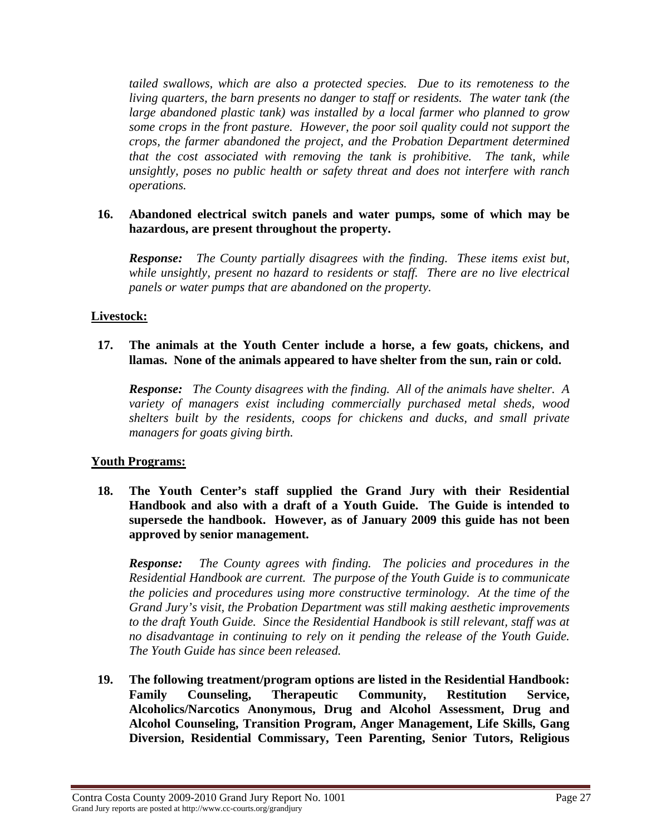*tailed swallows, which are also a protected species. Due to its remoteness to the living quarters, the barn presents no danger to staff or residents. The water tank (the large abandoned plastic tank) was installed by a local farmer who planned to grow some crops in the front pasture. However, the poor soil quality could not support the crops, the farmer abandoned the project, and the Probation Department determined that the cost associated with removing the tank is prohibitive. The tank, while unsightly, poses no public health or safety threat and does not interfere with ranch operations.* 

### **16. Abandoned electrical switch panels and water pumps, some of which may be hazardous, are present throughout the property.**

*Response: The County partially disagrees with the finding. These items exist but, while unsightly, present no hazard to residents or staff. There are no live electrical panels or water pumps that are abandoned on the property.* 

#### **Livestock:**

#### **17. The animals at the Youth Center include a horse, a few goats, chickens, and llamas. None of the animals appeared to have shelter from the sun, rain or cold.**

*Response: The County disagrees with the finding. All of the animals have shelter. A variety of managers exist including commercially purchased metal sheds, wood shelters built by the residents, coops for chickens and ducks, and small private managers for goats giving birth.* 

#### **Youth Programs:**

**18. The Youth Center's staff supplied the Grand Jury with their Residential Handbook and also with a draft of a Youth Guide. The Guide is intended to supersede the handbook. However, as of January 2009 this guide has not been approved by senior management.** 

*Response: The County agrees with finding. The policies and procedures in the Residential Handbook are current. The purpose of the Youth Guide is to communicate the policies and procedures using more constructive terminology. At the time of the Grand Jury's visit, the Probation Department was still making aesthetic improvements to the draft Youth Guide. Since the Residential Handbook is still relevant, staff was at no disadvantage in continuing to rely on it pending the release of the Youth Guide. The Youth Guide has since been released.* 

**19. The following treatment/program options are listed in the Residential Handbook: Family Counseling, Therapeutic Community, Restitution Service, Alcoholics/Narcotics Anonymous, Drug and Alcohol Assessment, Drug and Alcohol Counseling, Transition Program, Anger Management, Life Skills, Gang Diversion, Residential Commissary, Teen Parenting, Senior Tutors, Religious**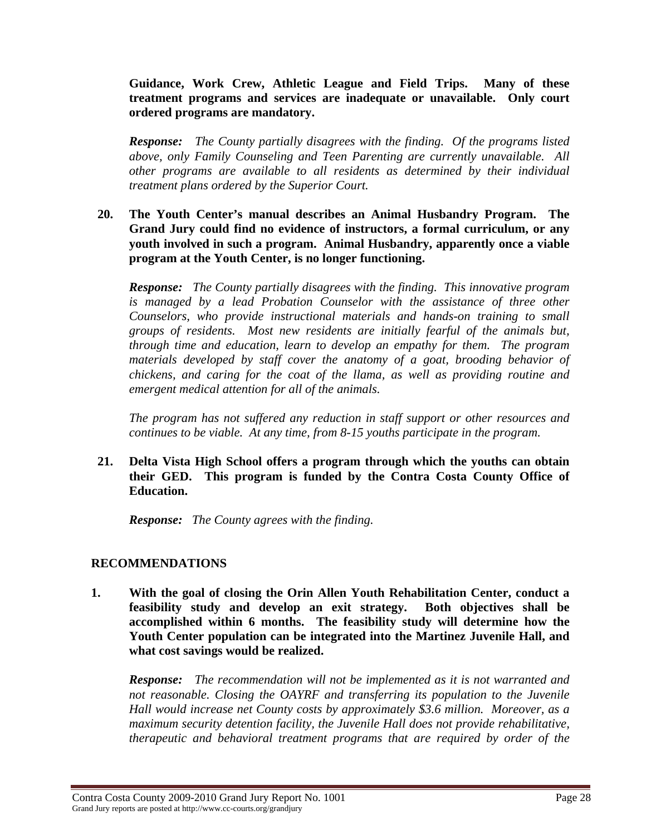**Guidance, Work Crew, Athletic League and Field Trips. Many of these treatment programs and services are inadequate or unavailable. Only court ordered programs are mandatory.** 

*Response: The County partially disagrees with the finding. Of the programs listed above, only Family Counseling and Teen Parenting are currently unavailable. All other programs are available to all residents as determined by their individual treatment plans ordered by the Superior Court.* 

#### **20. The Youth Center's manual describes an Animal Husbandry Program. The Grand Jury could find no evidence of instructors, a formal curriculum, or any youth involved in such a program. Animal Husbandry, apparently once a viable program at the Youth Center, is no longer functioning.**

*Response: The County partially disagrees with the finding. This innovative program is managed by a lead Probation Counselor with the assistance of three other Counselors, who provide instructional materials and hands-on training to small groups of residents. Most new residents are initially fearful of the animals but, through time and education, learn to develop an empathy for them. The program*  materials developed by staff cover the anatomy of a goat, brooding behavior of *chickens, and caring for the coat of the llama, as well as providing routine and emergent medical attention for all of the animals.* 

*The program has not suffered any reduction in staff support or other resources and continues to be viable. At any time, from 8-15 youths participate in the program.* 

#### **21. Delta Vista High School offers a program through which the youths can obtain their GED. This program is funded by the Contra Costa County Office of Education.**

*Response: The County agrees with the finding.* 

## **RECOMMENDATIONS**

**1. With the goal of closing the Orin Allen Youth Rehabilitation Center, conduct a feasibility study and develop an exit strategy. Both objectives shall be accomplished within 6 months. The feasibility study will determine how the Youth Center population can be integrated into the Martinez Juvenile Hall, and what cost savings would be realized.** 

*Response: The recommendation will not be implemented as it is not warranted and not reasonable. Closing the OAYRF and transferring its population to the Juvenile Hall would increase net County costs by approximately \$3.6 million. Moreover, as a maximum security detention facility, the Juvenile Hall does not provide rehabilitative, therapeutic and behavioral treatment programs that are required by order of the*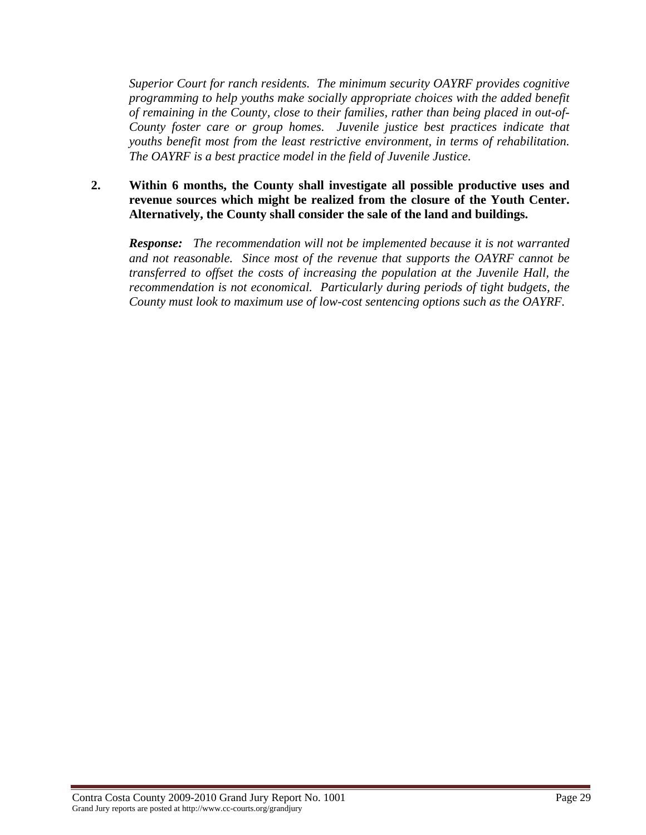*Superior Court for ranch residents. The minimum security OAYRF provides cognitive programming to help youths make socially appropriate choices with the added benefit of remaining in the County, close to their families, rather than being placed in out-of-County foster care or group homes. Juvenile justice best practices indicate that youths benefit most from the least restrictive environment, in terms of rehabilitation. The OAYRF is a best practice model in the field of Juvenile Justice.* 

#### **2. Within 6 months, the County shall investigate all possible productive uses and revenue sources which might be realized from the closure of the Youth Center. Alternatively, the County shall consider the sale of the land and buildings.**

*Response: The recommendation will not be implemented because it is not warranted and not reasonable. Since most of the revenue that supports the OAYRF cannot be transferred to offset the costs of increasing the population at the Juvenile Hall, the recommendation is not economical. Particularly during periods of tight budgets, the County must look to maximum use of low-cost sentencing options such as the OAYRF.*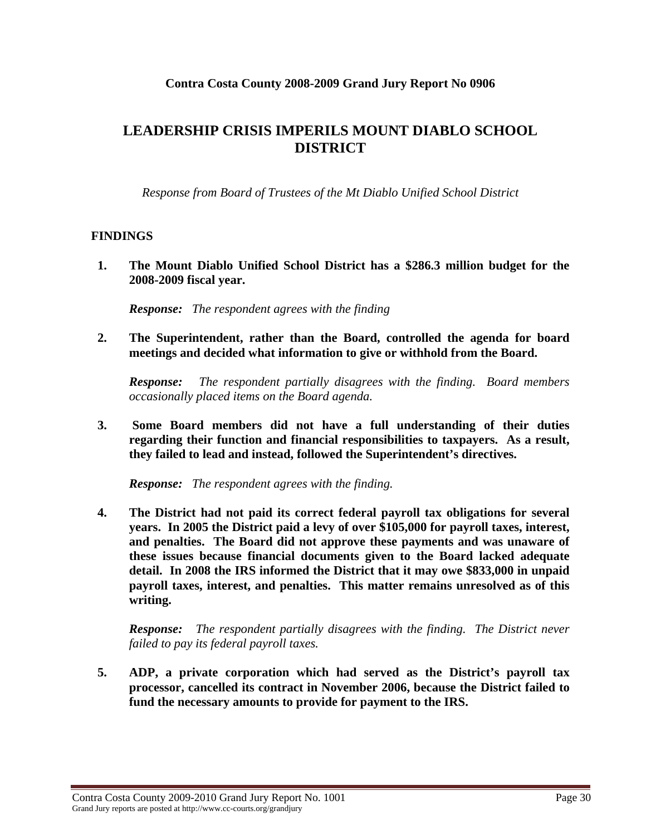## **Contra Costa County 2008-2009 Grand Jury Report No 0906**

# **LEADERSHIP CRISIS IMPERILS MOUNT DIABLO SCHOOL DISTRICT**

*Response from Board of Trustees of the Mt Diablo Unified School District* 

## **FINDINGS**

**1. The Mount Diablo Unified School District has a \$286.3 million budget for the 2008-2009 fiscal year.** 

*Response: The respondent agrees with the finding* 

**2. The Superintendent, rather than the Board, controlled the agenda for board meetings and decided what information to give or withhold from the Board.** 

*Response: The respondent partially disagrees with the finding. Board members occasionally placed items on the Board agenda.* 

**3. Some Board members did not have a full understanding of their duties regarding their function and financial responsibilities to taxpayers. As a result, they failed to lead and instead, followed the Superintendent's directives.** 

*Response: The respondent agrees with the finding.* 

**4. The District had not paid its correct federal payroll tax obligations for several years. In 2005 the District paid a levy of over \$105,000 for payroll taxes, interest, and penalties. The Board did not approve these payments and was unaware of these issues because financial documents given to the Board lacked adequate detail. In 2008 the IRS informed the District that it may owe \$833,000 in unpaid payroll taxes, interest, and penalties. This matter remains unresolved as of this writing.** 

*Response: The respondent partially disagrees with the finding. The District never failed to pay its federal payroll taxes.* 

**5. ADP, a private corporation which had served as the District's payroll tax processor, cancelled its contract in November 2006, because the District failed to fund the necessary amounts to provide for payment to the IRS.**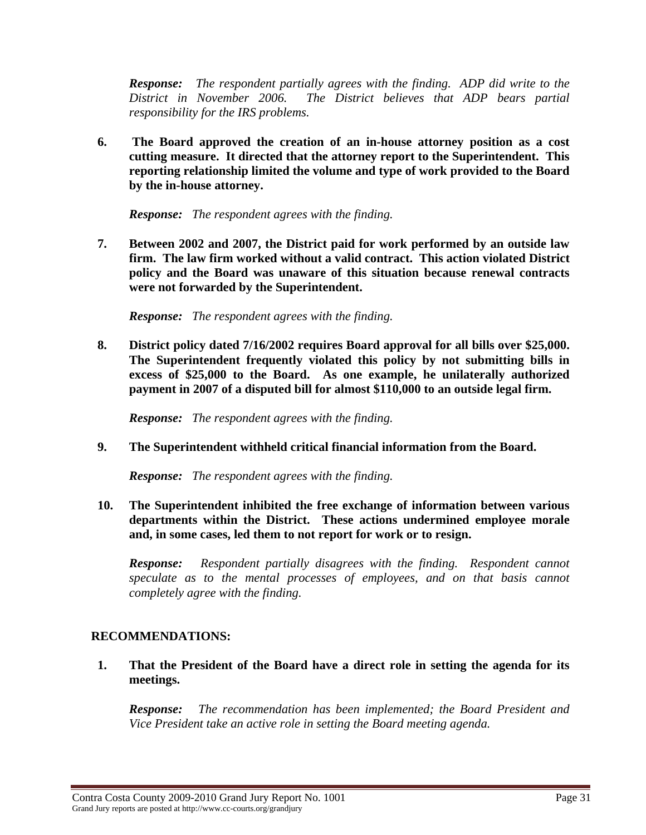*Response: The respondent partially agrees with the finding. ADP did write to the District in November 2006. The District believes that ADP bears partial responsibility for the IRS problems.* 

**6. The Board approved the creation of an in-house attorney position as a cost cutting measure. It directed that the attorney report to the Superintendent. This reporting relationship limited the volume and type of work provided to the Board by the in-house attorney.** 

*Response: The respondent agrees with the finding.* 

**7. Between 2002 and 2007, the District paid for work performed by an outside law firm. The law firm worked without a valid contract. This action violated District policy and the Board was unaware of this situation because renewal contracts were not forwarded by the Superintendent.** 

*Response: The respondent agrees with the finding.* 

**8. District policy dated 7/16/2002 requires Board approval for all bills over \$25,000. The Superintendent frequently violated this policy by not submitting bills in excess of \$25,000 to the Board. As one example, he unilaterally authorized payment in 2007 of a disputed bill for almost \$110,000 to an outside legal firm.** 

*Response: The respondent agrees with the finding.* 

**9. The Superintendent withheld critical financial information from the Board.** 

*Response: The respondent agrees with the finding.* 

**10. The Superintendent inhibited the free exchange of information between various departments within the District. These actions undermined employee morale and, in some cases, led them to not report for work or to resign.** 

*Response: Respondent partially disagrees with the finding. Respondent cannot speculate as to the mental processes of employees, and on that basis cannot completely agree with the finding.* 

## **RECOMMENDATIONS:**

**1. That the President of the Board have a direct role in setting the agenda for its meetings.** 

*Response: The recommendation has been implemented; the Board President and Vice President take an active role in setting the Board meeting agenda.* 

Contra Costa County 2009-2010 Grand Jury Report No. 1001 Page 31 Grand Jury reports are posted at http://www.cc-courts.org/grandjury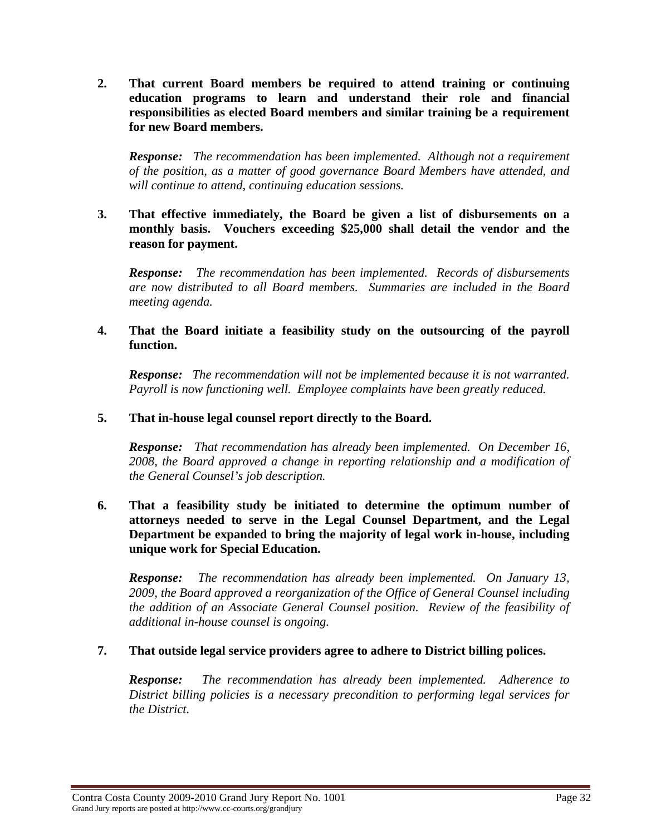**2. That current Board members be required to attend training or continuing education programs to learn and understand their role and financial responsibilities as elected Board members and similar training be a requirement for new Board members.** 

*Response: The recommendation has been implemented. Although not a requirement of the position, as a matter of good governance Board Members have attended, and will continue to attend, continuing education sessions.* 

**3. That effective immediately, the Board be given a list of disbursements on a monthly basis. Vouchers exceeding \$25,000 shall detail the vendor and the reason for payment.** 

*Response: The recommendation has been implemented. Records of disbursements are now distributed to all Board members. Summaries are included in the Board meeting agenda.* 

#### **4. That the Board initiate a feasibility study on the outsourcing of the payroll function.**

*Response: The recommendation will not be implemented because it is not warranted. Payroll is now functioning well. Employee complaints have been greatly reduced.* 

#### **5. That in-house legal counsel report directly to the Board.**

*Response: That recommendation has already been implemented. On December 16, 2008, the Board approved a change in reporting relationship and a modification of the General Counsel's job description.* 

**6. That a feasibility study be initiated to determine the optimum number of attorneys needed to serve in the Legal Counsel Department, and the Legal Department be expanded to bring the majority of legal work in-house, including unique work for Special Education.** 

*Response: The recommendation has already been implemented. On January 13, 2009, the Board approved a reorganization of the Office of General Counsel including the addition of an Associate General Counsel position. Review of the feasibility of additional in-house counsel is ongoing.* 

## **7. That outside legal service providers agree to adhere to District billing polices.**

*Response: The recommendation has already been implemented. Adherence to District billing policies is a necessary precondition to performing legal services for the District.*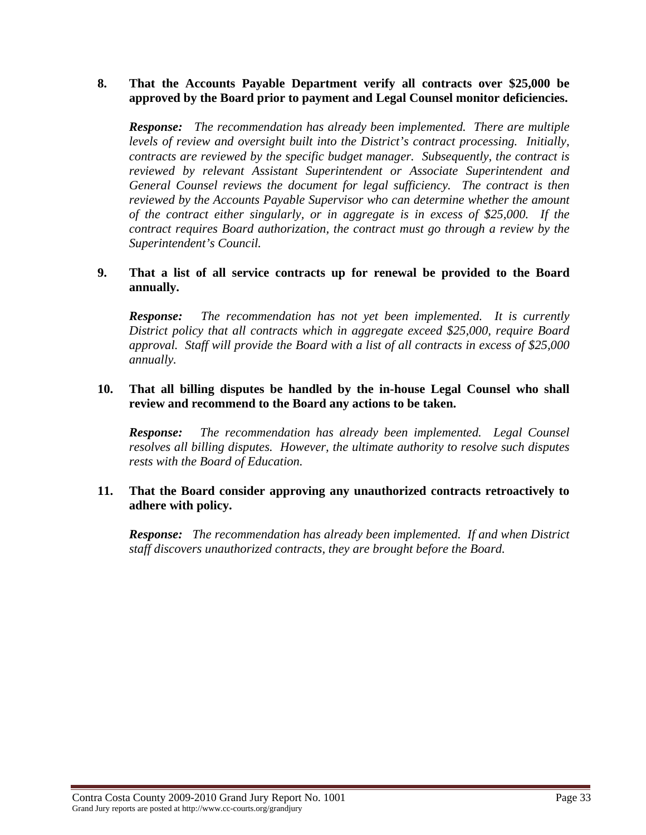#### **8. That the Accounts Payable Department verify all contracts over \$25,000 be approved by the Board prior to payment and Legal Counsel monitor deficiencies.**

*Response: The recommendation has already been implemented. There are multiple levels of review and oversight built into the District's contract processing. Initially, contracts are reviewed by the specific budget manager. Subsequently, the contract is reviewed by relevant Assistant Superintendent or Associate Superintendent and General Counsel reviews the document for legal sufficiency. The contract is then reviewed by the Accounts Payable Supervisor who can determine whether the amount of the contract either singularly, or in aggregate is in excess of \$25,000. If the contract requires Board authorization, the contract must go through a review by the Superintendent's Council.* 

#### **9. That a list of all service contracts up for renewal be provided to the Board annually.**

*Response: The recommendation has not yet been implemented. It is currently District policy that all contracts which in aggregate exceed \$25,000, require Board approval. Staff will provide the Board with a list of all contracts in excess of \$25,000 annually.* 

#### **10. That all billing disputes be handled by the in-house Legal Counsel who shall review and recommend to the Board any actions to be taken.**

*Response: The recommendation has already been implemented. Legal Counsel resolves all billing disputes. However, the ultimate authority to resolve such disputes rests with the Board of Education.* 

## **11. That the Board consider approving any unauthorized contracts retroactively to adhere with policy.**

*Response: The recommendation has already been implemented. If and when District staff discovers unauthorized contracts, they are brought before the Board.*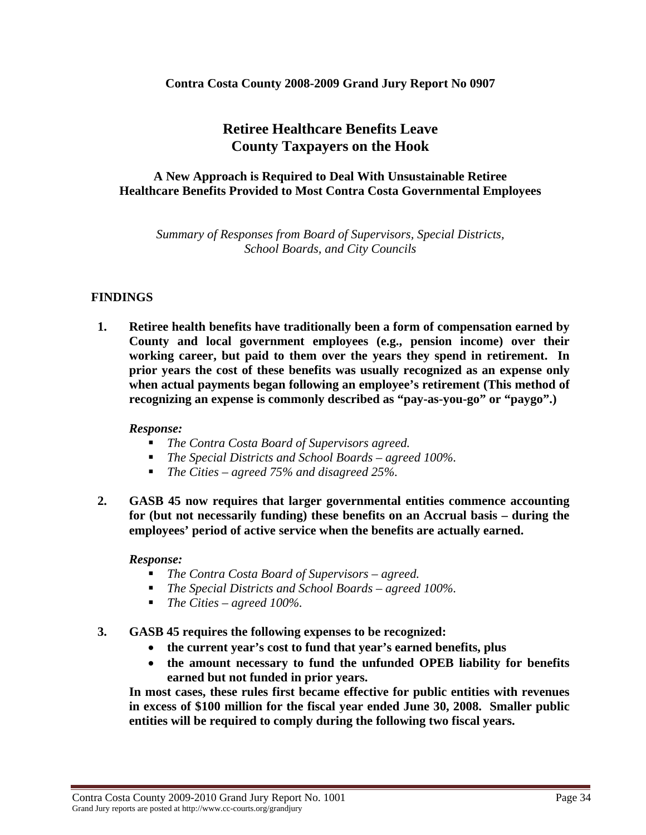#### **Contra Costa County 2008-2009 Grand Jury Report No 0907**

# **Retiree Healthcare Benefits Leave County Taxpayers on the Hook**

## **A New Approach is Required to Deal With Unsustainable Retiree Healthcare Benefits Provided to Most Contra Costa Governmental Employees**

*Summary of Responses from Board of Supervisors, Special Districts, School Boards, and City Councils* 

#### **FINDINGS**

**1. Retiree health benefits have traditionally been a form of compensation earned by County and local government employees (e.g., pension income) over their working career, but paid to them over the years they spend in retirement. In prior years the cost of these benefits was usually recognized as an expense only when actual payments began following an employee's retirement (This method of recognizing an expense is commonly described as "pay-as-you-go" or "paygo".)** 

#### *Response:*

- *The Contra Costa Board of Supervisors agreed.*
- *The Special Districts and School Boards agreed 100%.*
- *The Cities agreed 75% and disagreed 25%.*
- **2. GASB 45 now requires that larger governmental entities commence accounting for (but not necessarily funding) these benefits on an Accrual basis – during the employees' period of active service when the benefits are actually earned.**

#### *Response:*

- *The Contra Costa Board of Supervisors agreed.*
- *The Special Districts and School Boards agreed 100%.*
- *The Cities agreed 100%.*
- **3. GASB 45 requires the following expenses to be recognized:** 
	- **the current year's cost to fund that year's earned benefits, plus**
	- **the amount necessary to fund the unfunded OPEB liability for benefits earned but not funded in prior years.**

**In most cases, these rules first became effective for public entities with revenues in excess of \$100 million for the fiscal year ended June 30, 2008. Smaller public entities will be required to comply during the following two fiscal years.**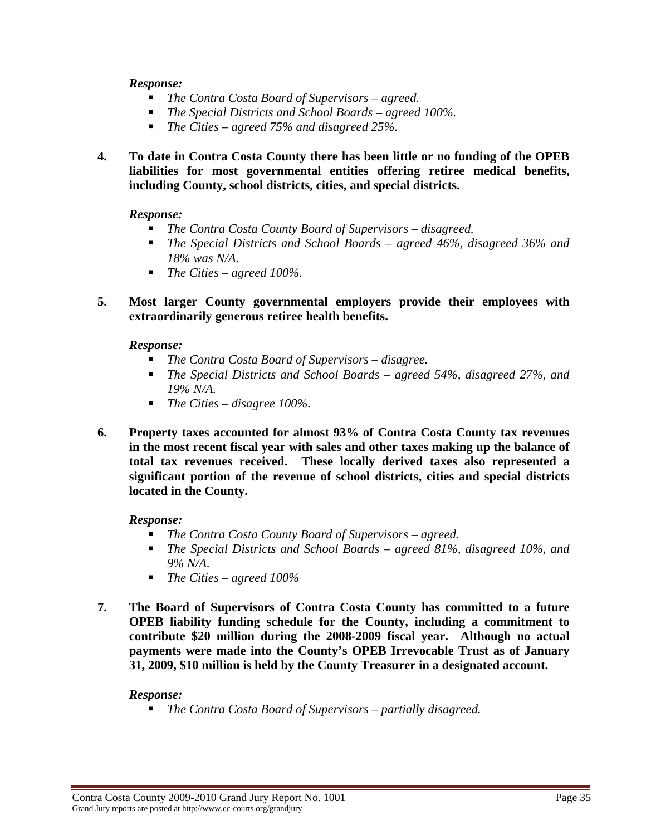#### *Response:*

- *The Contra Costa Board of Supervisors agreed.*
- *The Special Districts and School Boards agreed 100%.*
- *The Cities agreed 75% and disagreed 25%.*
- **4. To date in Contra Costa County there has been little or no funding of the OPEB liabilities for most governmental entities offering retiree medical benefits, including County, school districts, cities, and special districts.**

#### *Response:*

- *The Contra Costa County Board of Supervisors disagreed.*
- *The Special Districts and School Boards agreed 46%, disagreed 36% and 18% was N/A.*
- *The Cities agreed 100%.*
- **5. Most larger County governmental employers provide their employees with extraordinarily generous retiree health benefits.**

#### *Response:*

- *The Contra Costa Board of Supervisors disagree.*
- *The Special Districts and School Boards agreed 54%, disagreed 27%, and 19% N/A.*
- *The Cities disagree 100%.*
- **6. Property taxes accounted for almost 93% of Contra Costa County tax revenues in the most recent fiscal year with sales and other taxes making up the balance of total tax revenues received. These locally derived taxes also represented a significant portion of the revenue of school districts, cities and special districts located in the County.**

#### *Response:*

- *The Contra Costa County Board of Supervisors agreed.*
- *The Special Districts and School Boards agreed 81%, disagreed 10%, and 9% N/A.*
- *The Cities agreed 100%*
- **7. The Board of Supervisors of Contra Costa County has committed to a future OPEB liability funding schedule for the County, including a commitment to contribute \$20 million during the 2008-2009 fiscal year. Although no actual payments were made into the County's OPEB Irrevocable Trust as of January 31, 2009, \$10 million is held by the County Treasurer in a designated account.**

#### *Response:*

*The Contra Costa Board of Supervisors – partially disagreed.*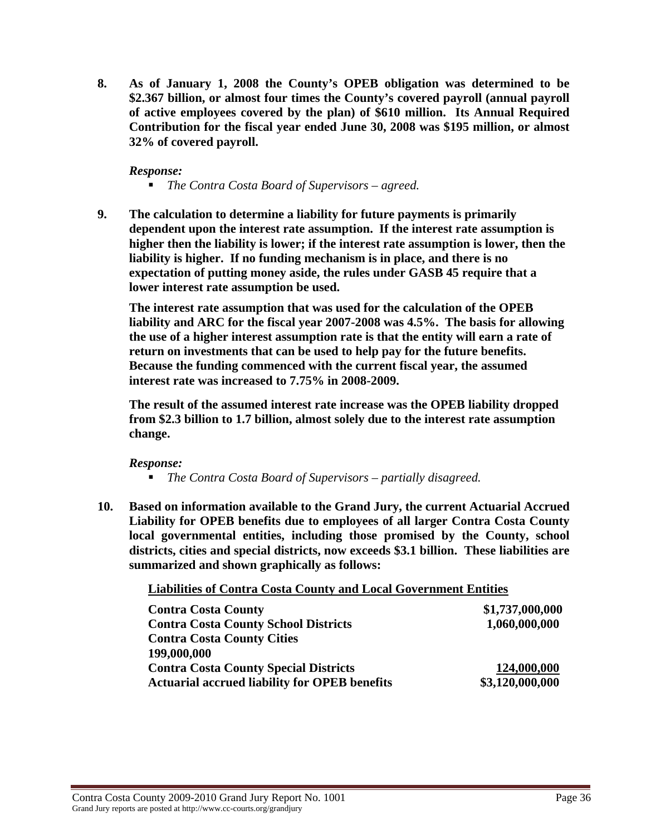**8. As of January 1, 2008 the County's OPEB obligation was determined to be \$2.367 billion, or almost four times the County's covered payroll (annual payroll of active employees covered by the plan) of \$610 million. Its Annual Required Contribution for the fiscal year ended June 30, 2008 was \$195 million, or almost 32% of covered payroll.** 

*Response:* 

- *The Contra Costa Board of Supervisors agreed.*
- **9. The calculation to determine a liability for future payments is primarily dependent upon the interest rate assumption. If the interest rate assumption is higher then the liability is lower; if the interest rate assumption is lower, then the liability is higher. If no funding mechanism is in place, and there is no expectation of putting money aside, the rules under GASB 45 require that a lower interest rate assumption be used.**

**The interest rate assumption that was used for the calculation of the OPEB liability and ARC for the fiscal year 2007-2008 was 4.5%. The basis for allowing the use of a higher interest assumption rate is that the entity will earn a rate of return on investments that can be used to help pay for the future benefits. Because the funding commenced with the current fiscal year, the assumed interest rate was increased to 7.75% in 2008-2009.** 

**The result of the assumed interest rate increase was the OPEB liability dropped from \$2.3 billion to 1.7 billion, almost solely due to the interest rate assumption change.** 

*Response:* 

- *The Contra Costa Board of Supervisors partially disagreed.*
- **10. Based on information available to the Grand Jury, the current Actuarial Accrued Liability for OPEB benefits due to employees of all larger Contra Costa County local governmental entities, including those promised by the County, school districts, cities and special districts, now exceeds \$3.1 billion. These liabilities are summarized and shown graphically as follows:**

**Liabilities of Contra Costa County and Local Government Entities**

| <b>Contra Costa County</b>                           | \$1,737,000,000 |
|------------------------------------------------------|-----------------|
| <b>Contra Costa County School Districts</b>          | 1,060,000,000   |
| <b>Contra Costa County Cities</b>                    |                 |
| 199,000,000                                          |                 |
| <b>Contra Costa County Special Districts</b>         | 124,000,000     |
| <b>Actuarial accrued liability for OPEB benefits</b> | \$3,120,000,000 |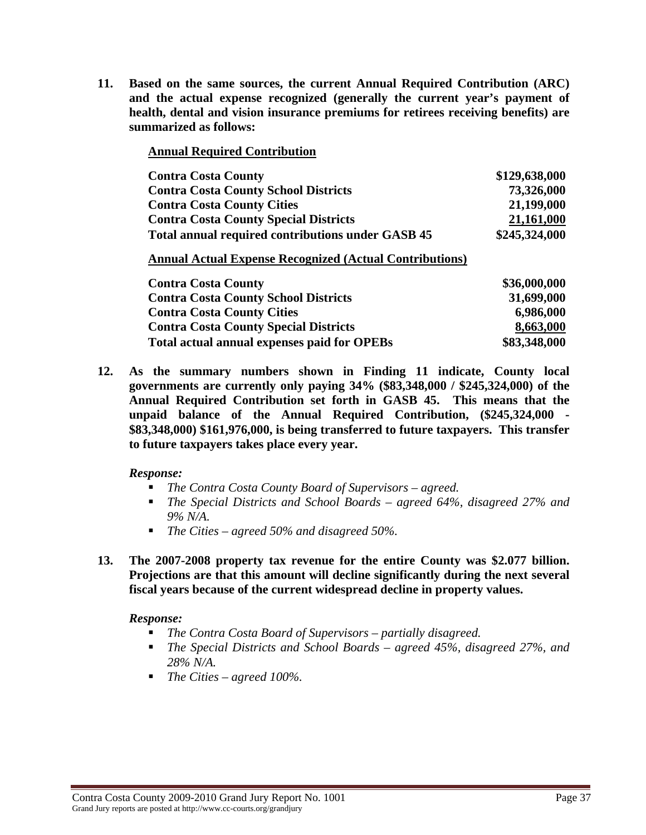**11. Based on the same sources, the current Annual Required Contribution (ARC) and the actual expense recognized (generally the current year's payment of health, dental and vision insurance premiums for retirees receiving benefits) are summarized as follows:** 

|  | <b>Annual Required Contribution</b> |  |
|--|-------------------------------------|--|
|  |                                     |  |

| <b>Contra Costa County</b>                                     | \$129,638,000 |
|----------------------------------------------------------------|---------------|
| <b>Contra Costa County School Districts</b>                    | 73,326,000    |
| <b>Contra Costa County Cities</b>                              | 21,199,000    |
| <b>Contra Costa County Special Districts</b>                   | 21,161,000    |
| <b>Total annual required contributions under GASB 45</b>       | \$245,324,000 |
| <b>Annual Actual Expense Recognized (Actual Contributions)</b> |               |
| <b>Contra Costa County</b>                                     | \$36,000,000  |
| <b>Contra Costa County School Districts</b>                    | 31,699,000    |
| <b>Contra Costa County Cities</b>                              | 6,986,000     |
| <b>Contra Costa County Special Districts</b>                   | 8,663,000     |

**Total actual annual expenses paid for OPEBs \$83,348,000** 

**12. As the summary numbers shown in Finding 11 indicate, County local governments are currently only paying 34% (\$83,348,000 / \$245,324,000) of the Annual Required Contribution set forth in GASB 45. This means that the unpaid balance of the Annual Required Contribution, (\$245,324,000 - \$83,348,000) \$161,976,000, is being transferred to future taxpayers. This transfer to future taxpayers takes place every year.** 

#### *Response:*

- *The Contra Costa County Board of Supervisors agreed.*
- *The Special Districts and School Boards agreed 64%, disagreed 27% and 9% N/A.*
- *The Cities agreed 50% and disagreed 50%.*
- **13. The 2007-2008 property tax revenue for the entire County was \$2.077 billion. Projections are that this amount will decline significantly during the next several fiscal years because of the current widespread decline in property values.**

#### *Response:*

- *The Contra Costa Board of Supervisors partially disagreed.*
- *The Special Districts and School Boards agreed 45%, disagreed 27%, and 28% N/A.*
- *The Cities agreed 100%.*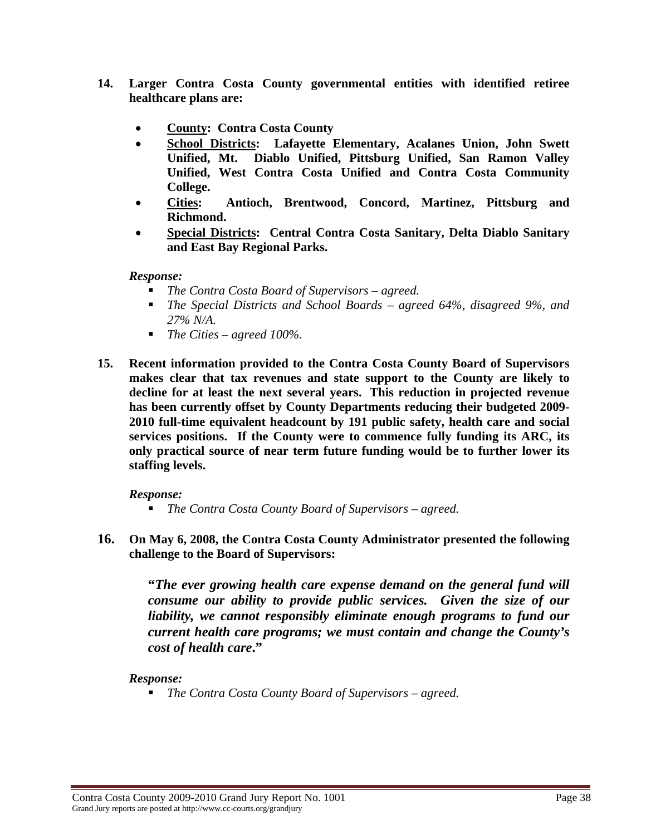- **14. Larger Contra Costa County governmental entities with identified retiree healthcare plans are:** 
	- **County: Contra Costa County**
	- **School Districts: Lafayette Elementary, Acalanes Union, John Swett Unified, Mt. Diablo Unified, Pittsburg Unified, San Ramon Valley Unified, West Contra Costa Unified and Contra Costa Community College.**
	- **Cities: Antioch, Brentwood, Concord, Martinez, Pittsburg and Richmond.**
	- **Special Districts: Central Contra Costa Sanitary, Delta Diablo Sanitary and East Bay Regional Parks.**

#### *Response:*

- *The Contra Costa Board of Supervisors agreed.*
- *The Special Districts and School Boards agreed 64%, disagreed 9%, and 27% N/A.*
- *The Cities agreed 100%.*
- **15. Recent information provided to the Contra Costa County Board of Supervisors makes clear that tax revenues and state support to the County are likely to decline for at least the next several years. This reduction in projected revenue has been currently offset by County Departments reducing their budgeted 2009- 2010 full-time equivalent headcount by 191 public safety, health care and social services positions. If the County were to commence fully funding its ARC, its only practical source of near term future funding would be to further lower its staffing levels.**

## *Response:*

- *The Contra Costa County Board of Supervisors agreed.*
- **16. On May 6, 2008, the Contra Costa County Administrator presented the following challenge to the Board of Supervisors:**

**"***The ever growing health care expense demand on the general fund will consume our ability to provide public services. Given the size of our liability, we cannot responsibly eliminate enough programs to fund our current health care programs; we must contain and change the County's cost of health care***."** 

## *Response:*

*The Contra Costa County Board of Supervisors – agreed.*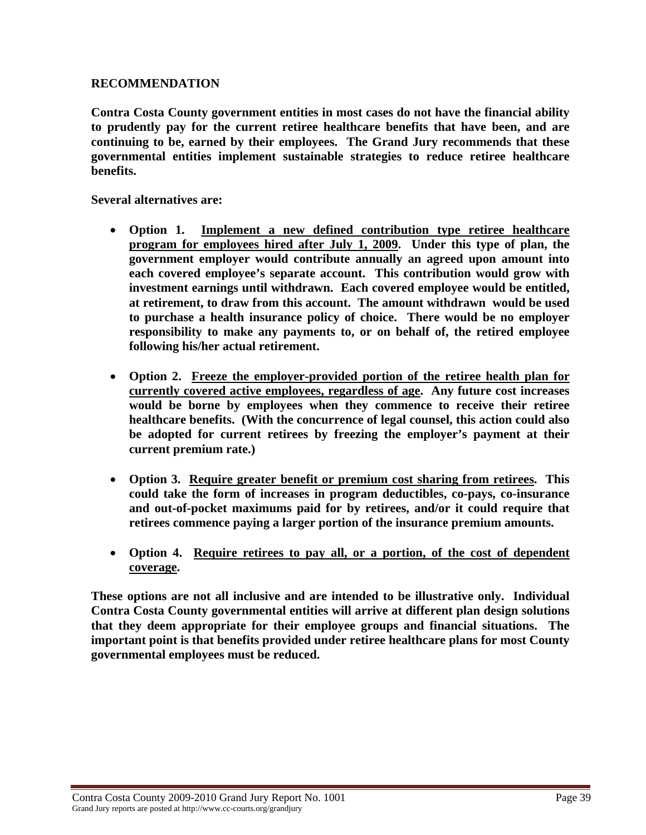### **RECOMMENDATION**

**Contra Costa County government entities in most cases do not have the financial ability to prudently pay for the current retiree healthcare benefits that have been, and are continuing to be, earned by their employees. The Grand Jury recommends that these governmental entities implement sustainable strategies to reduce retiree healthcare benefits.** 

**Several alternatives are:** 

- **Option 1. Implement a new defined contribution type retiree healthcare program for employees hired after July 1, 2009. Under this type of plan, the government employer would contribute annually an agreed upon amount into each covered employee's separate account. This contribution would grow with investment earnings until withdrawn. Each covered employee would be entitled, at retirement, to draw from this account. The amount withdrawn would be used to purchase a health insurance policy of choice. There would be no employer responsibility to make any payments to, or on behalf of, the retired employee following his/her actual retirement.**
- **Option 2. Freeze the employer-provided portion of the retiree health plan for currently covered active employees, regardless of age. Any future cost increases would be borne by employees when they commence to receive their retiree healthcare benefits. (With the concurrence of legal counsel, this action could also be adopted for current retirees by freezing the employer's payment at their current premium rate.)**
- **Option 3. Require greater benefit or premium cost sharing from retirees. This could take the form of increases in program deductibles, co-pays, co-insurance and out-of-pocket maximums paid for by retirees, and/or it could require that retirees commence paying a larger portion of the insurance premium amounts.**
- **Option 4. Require retirees to pay all, or a portion, of the cost of dependent coverage.**

**These options are not all inclusive and are intended to be illustrative only. Individual Contra Costa County governmental entities will arrive at different plan design solutions that they deem appropriate for their employee groups and financial situations. The important point is that benefits provided under retiree healthcare plans for most County governmental employees must be reduced.**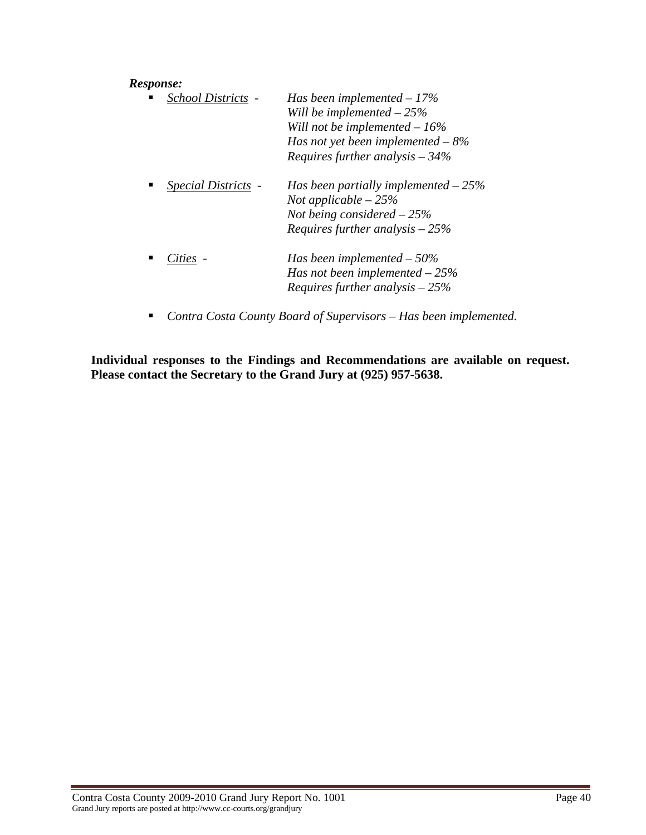#### *Response:*

| School Districts -<br>п | Has been implemented $-17\%$<br>Will be implemented $-25%$<br>Will not be implemented $-16\%$<br>Has not yet been implemented $-8\%$<br>Requires further analysis $-34%$ |
|-------------------------|--------------------------------------------------------------------------------------------------------------------------------------------------------------------------|
| Special Districts -     | Has been partially implemented $-25%$<br>Not applicable $-25%$<br>Not being considered $-25%$<br>Requires further analysis $-25%$                                        |
| Cities                  | Has been implemented $-50\%$<br>Has not been implemented $-25%$<br>Requires further analysis $-25%$                                                                      |

*Contra Costa County Board of Supervisors – Has been implemented.* 

**Individual responses to the Findings and Recommendations are available on request. Please contact the Secretary to the Grand Jury at (925) 957-5638.**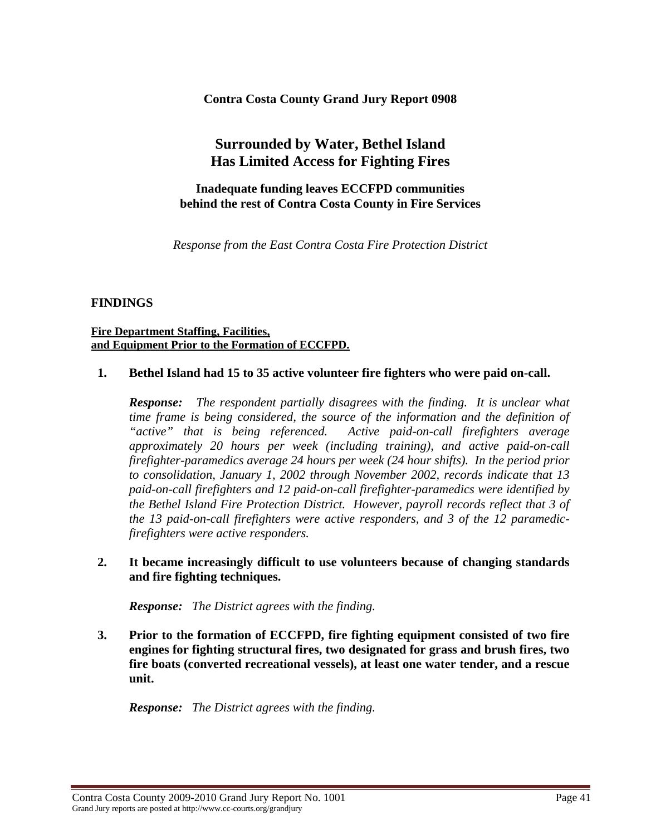**Contra Costa County Grand Jury Report 0908** 

# **Surrounded by Water, Bethel Island Has Limited Access for Fighting Fires**

**Inadequate funding leaves ECCFPD communities behind the rest of Contra Costa County in Fire Services** 

*Response from the East Contra Costa Fire Protection District* 

## **FINDINGS**

#### **Fire Department Staffing, Facilities, and Equipment Prior to the Formation of ECCFPD.**

#### **1. Bethel Island had 15 to 35 active volunteer fire fighters who were paid on-call.**

*Response: The respondent partially disagrees with the finding. It is unclear what time frame is being considered, the source of the information and the definition of "active" that is being referenced. Active paid-on-call firefighters average approximately 20 hours per week (including training), and active paid-on-call firefighter-paramedics average 24 hours per week (24 hour shifts). In the period prior to consolidation, January 1, 2002 through November 2002, records indicate that 13 paid-on-call firefighters and 12 paid-on-call firefighter-paramedics were identified by the Bethel Island Fire Protection District. However, payroll records reflect that 3 of the 13 paid-on-call firefighters were active responders, and 3 of the 12 paramedicfirefighters were active responders.* 

## **2. It became increasingly difficult to use volunteers because of changing standards and fire fighting techniques.**

*Response: The District agrees with the finding.* 

**3. Prior to the formation of ECCFPD, fire fighting equipment consisted of two fire engines for fighting structural fires, two designated for grass and brush fires, two fire boats (converted recreational vessels), at least one water tender, and a rescue unit.** 

*Response: The District agrees with the finding.* 

Contra Costa County 2009-2010 Grand Jury Report No. 1001 Page 41 Grand Jury reports are posted at http://www.cc-courts.org/grandjury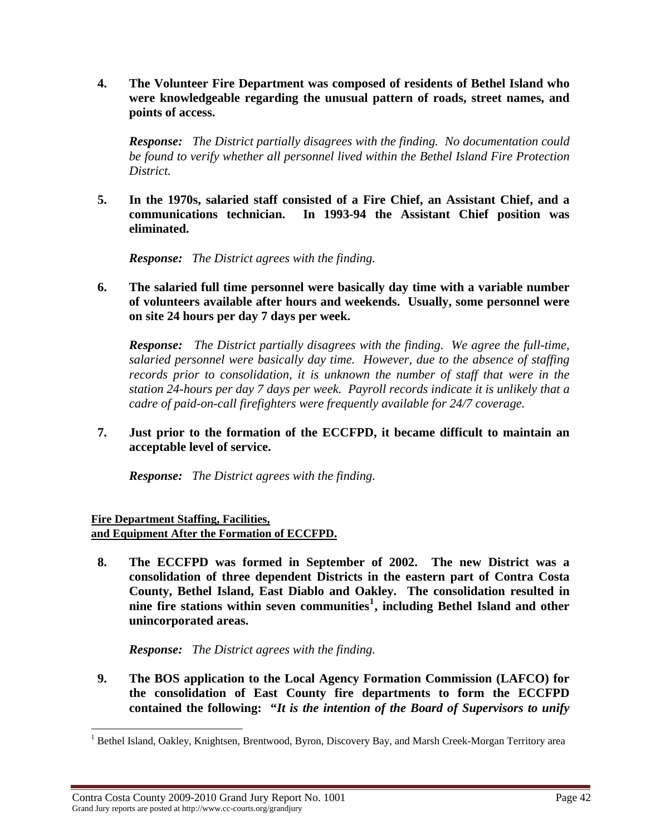**4. The Volunteer Fire Department was composed of residents of Bethel Island who were knowledgeable regarding the unusual pattern of roads, street names, and points of access.** 

*Response: The District partially disagrees with the finding. No documentation could be found to verify whether all personnel lived within the Bethel Island Fire Protection District.* 

**5. In the 1970s, salaried staff consisted of a Fire Chief, an Assistant Chief, and a communications technician. In 1993-94 the Assistant Chief position was eliminated.** 

*Response: The District agrees with the finding.* 

**6. The salaried full time personnel were basically day time with a variable number of volunteers available after hours and weekends. Usually, some personnel were on site 24 hours per day 7 days per week.** 

*Response: The District partially disagrees with the finding. We agree the full-time, salaried personnel were basically day time. However, due to the absence of staffing records prior to consolidation, it is unknown the number of staff that were in the station 24-hours per day 7 days per week. Payroll records indicate it is unlikely that a cadre of paid-on-call firefighters were frequently available for 24/7 coverage.* 

**7. Just prior to the formation of the ECCFPD, it became difficult to maintain an acceptable level of service.** 

*Response: The District agrees with the finding.* 

**Fire Department Staffing, Facilities, and Equipment After the Formation of ECCFPD.** 

**8. The ECCFPD was formed in September of 2002. The new District was a consolidation of three dependent Districts in the eastern part of Contra Costa County, Bethel Island, East Diablo and Oakley. The consolidation resulted in nine fire stations within seven communities[1](#page-41-0) , including Bethel Island and other unincorporated areas.** 

*Response: The District agrees with the finding.* 

**9. The BOS application to the Local Agency Formation Commission (LAFCO) for the consolidation of East County fire departments to form the ECCFPD contained the following: "***It is the intention of the Board of Supervisors to unify* 

<span id="page-41-0"></span><sup>&</sup>lt;sup>1</sup> Bethel Island, Oakley, Knightsen, Brentwood, Byron, Discovery Bay, and Marsh Creek-Morgan Territory area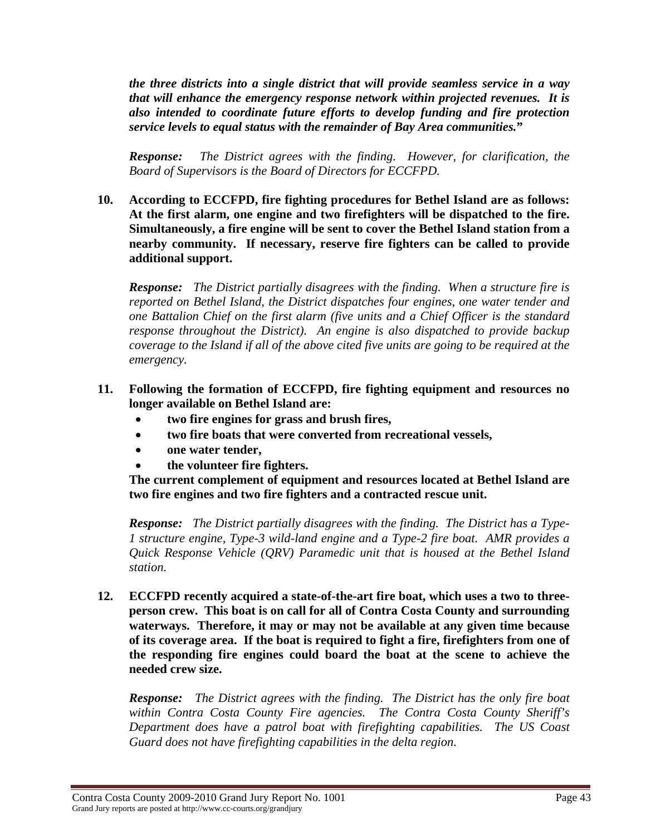*the three districts into a single district that will provide seamless service in a way that will enhance the emergency response network within projected revenues. It is also intended to coordinate future efforts to develop funding and fire protection service levels to equal status with the remainder of Bay Area communities.***"** 

*Response: The District agrees with the finding. However, for clarification, the Board of Supervisors is the Board of Directors for ECCFPD.* 

**10. According to ECCFPD, fire fighting procedures for Bethel Island are as follows: At the first alarm, one engine and two firefighters will be dispatched to the fire. Simultaneously, a fire engine will be sent to cover the Bethel Island station from a nearby community. If necessary, reserve fire fighters can be called to provide additional support.** 

*Response: The District partially disagrees with the finding. When a structure fire is reported on Bethel Island, the District dispatches four engines, one water tender and one Battalion Chief on the first alarm (five units and a Chief Officer is the standard response throughout the District). An engine is also dispatched to provide backup coverage to the Island if all of the above cited five units are going to be required at the emergency.* 

- **11. Following the formation of ECCFPD, fire fighting equipment and resources no longer available on Bethel Island are:** 
	- **two fire engines for grass and brush fires,**
	- **two fire boats that were converted from recreational vessels,**
	- **one water tender,**
	- **the volunteer fire fighters.**

**The current complement of equipment and resources located at Bethel Island are two fire engines and two fire fighters and a contracted rescue unit.** 

*Response: The District partially disagrees with the finding. The District has a Type-1 structure engine, Type-3 wild-land engine and a Type-2 fire boat. AMR provides a Quick Response Vehicle (QRV) Paramedic unit that is housed at the Bethel Island station.* 

**12. ECCFPD recently acquired a state-of-the-art fire boat, which uses a two to threeperson crew. This boat is on call for all of Contra Costa County and surrounding waterways. Therefore, it may or may not be available at any given time because of its coverage area. If the boat is required to fight a fire, firefighters from one of the responding fire engines could board the boat at the scene to achieve the needed crew size.** 

*Response: The District agrees with the finding. The District has the only fire boat within Contra Costa County Fire agencies. The Contra Costa County Sheriff's Department does have a patrol boat with firefighting capabilities. The US Coast Guard does not have firefighting capabilities in the delta region.*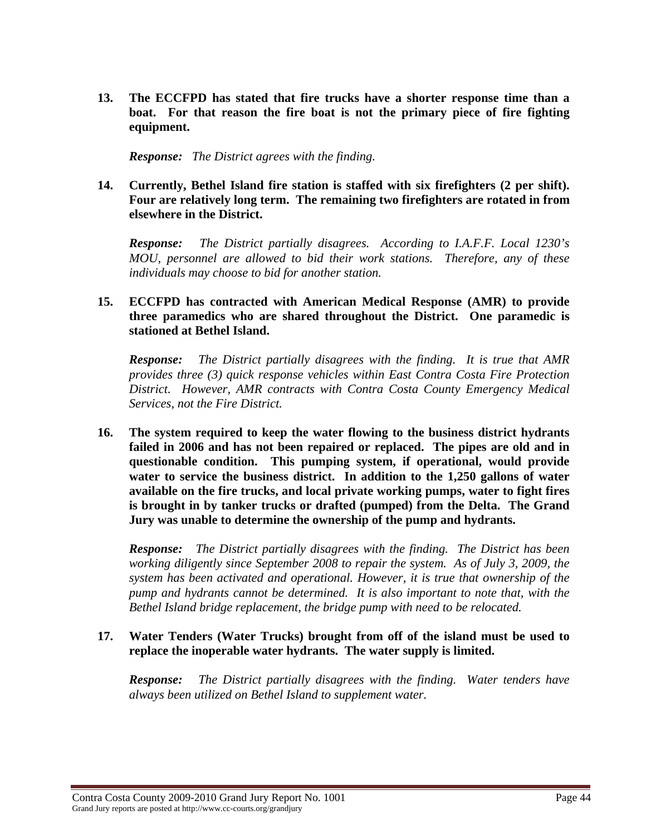**13. The ECCFPD has stated that fire trucks have a shorter response time than a boat. For that reason the fire boat is not the primary piece of fire fighting equipment.** 

*Response: The District agrees with the finding.* 

#### **14. Currently, Bethel Island fire station is staffed with six firefighters (2 per shift). Four are relatively long term. The remaining two firefighters are rotated in from elsewhere in the District.**

*Response: The District partially disagrees. According to I.A.F.F. Local 1230's MOU, personnel are allowed to bid their work stations. Therefore, any of these individuals may choose to bid for another station.* 

## **15. ECCFPD has contracted with American Medical Response (AMR) to provide three paramedics who are shared throughout the District. One paramedic is stationed at Bethel Island.**

*Response: The District partially disagrees with the finding. It is true that AMR provides three (3) quick response vehicles within East Contra Costa Fire Protection District. However, AMR contracts with Contra Costa County Emergency Medical Services, not the Fire District.* 

**16. The system required to keep the water flowing to the business district hydrants failed in 2006 and has not been repaired or replaced. The pipes are old and in questionable condition. This pumping system, if operational, would provide water to service the business district. In addition to the 1,250 gallons of water available on the fire trucks, and local private working pumps, water to fight fires is brought in by tanker trucks or drafted (pumped) from the Delta. The Grand Jury was unable to determine the ownership of the pump and hydrants.** 

*Response: The District partially disagrees with the finding. The District has been working diligently since September 2008 to repair the system. As of July 3, 2009, the system has been activated and operational. However, it is true that ownership of the pump and hydrants cannot be determined. It is also important to note that, with the Bethel Island bridge replacement, the bridge pump with need to be relocated.* 

## **17. Water Tenders (Water Trucks) brought from off of the island must be used to replace the inoperable water hydrants. The water supply is limited.**

*Response: The District partially disagrees with the finding. Water tenders have always been utilized on Bethel Island to supplement water.*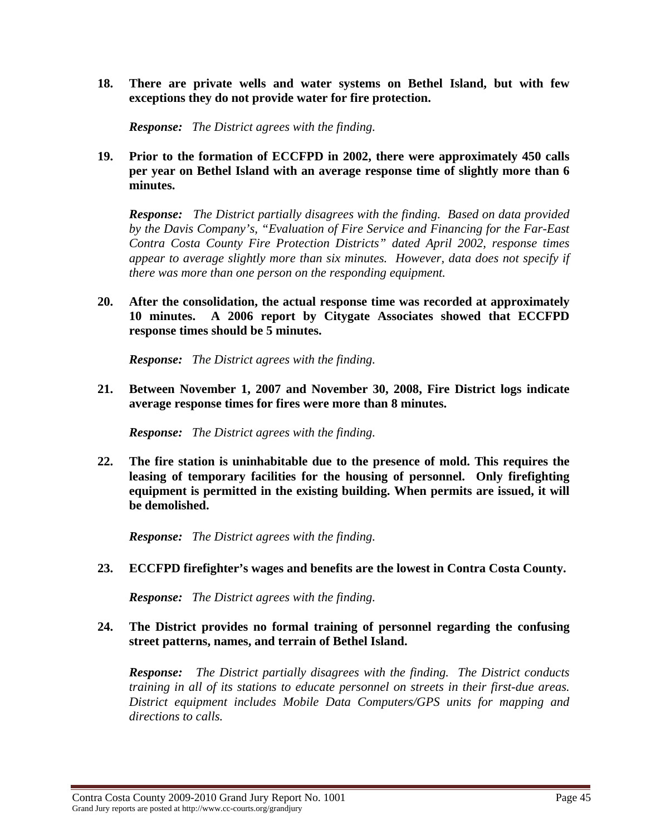**18. There are private wells and water systems on Bethel Island, but with few exceptions they do not provide water for fire protection.** 

*Response: The District agrees with the finding.* 

### **19. Prior to the formation of ECCFPD in 2002, there were approximately 450 calls per year on Bethel Island with an average response time of slightly more than 6 minutes.**

*Response: The District partially disagrees with the finding. Based on data provided by the Davis Company's, "Evaluation of Fire Service and Financing for the Far-East Contra Costa County Fire Protection Districts" dated April 2002, response times appear to average slightly more than six minutes. However, data does not specify if there was more than one person on the responding equipment.* 

**20. After the consolidation, the actual response time was recorded at approximately 10 minutes. A 2006 report by Citygate Associates showed that ECCFPD response times should be 5 minutes.** 

*Response: The District agrees with the finding.* 

**21. Between November 1, 2007 and November 30, 2008, Fire District logs indicate average response times for fires were more than 8 minutes.** 

*Response: The District agrees with the finding.* 

**22. The fire station is uninhabitable due to the presence of mold. This requires the leasing of temporary facilities for the housing of personnel. Only firefighting equipment is permitted in the existing building. When permits are issued, it will be demolished.** 

*Response: The District agrees with the finding.* 

**23. ECCFPD firefighter's wages and benefits are the lowest in Contra Costa County.** 

*Response: The District agrees with the finding.* 

#### **24. The District provides no formal training of personnel regarding the confusing street patterns, names, and terrain of Bethel Island.**

*Response: The District partially disagrees with the finding. The District conducts training in all of its stations to educate personnel on streets in their first-due areas. District equipment includes Mobile Data Computers/GPS units for mapping and directions to calls.*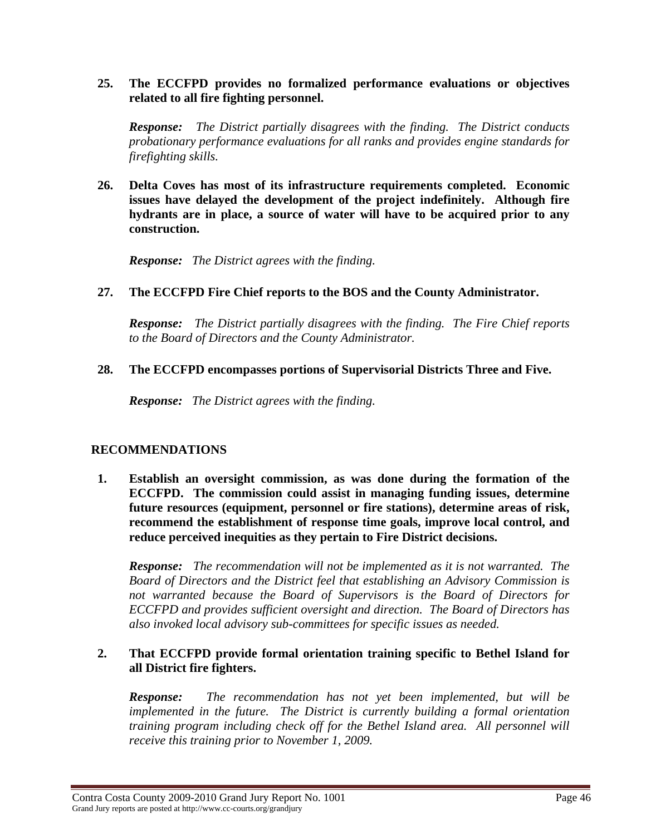#### **25. The ECCFPD provides no formalized performance evaluations or objectives related to all fire fighting personnel.**

*Response: The District partially disagrees with the finding. The District conducts probationary performance evaluations for all ranks and provides engine standards for firefighting skills.* 

**26. Delta Coves has most of its infrastructure requirements completed. Economic issues have delayed the development of the project indefinitely. Although fire hydrants are in place, a source of water will have to be acquired prior to any construction.** 

*Response: The District agrees with the finding.* 

## **27. The ECCFPD Fire Chief reports to the BOS and the County Administrator.**

*Response: The District partially disagrees with the finding. The Fire Chief reports to the Board of Directors and the County Administrator.* 

## **28. The ECCFPD encompasses portions of Supervisorial Districts Three and Five.**

*Response: The District agrees with the finding.* 

## **RECOMMENDATIONS**

**1. Establish an oversight commission, as was done during the formation of the ECCFPD. The commission could assist in managing funding issues, determine future resources (equipment, personnel or fire stations), determine areas of risk, recommend the establishment of response time goals, improve local control, and reduce perceived inequities as they pertain to Fire District decisions.** 

*Response: The recommendation will not be implemented as it is not warranted. The Board of Directors and the District feel that establishing an Advisory Commission is not warranted because the Board of Supervisors is the Board of Directors for ECCFPD and provides sufficient oversight and direction. The Board of Directors has also invoked local advisory sub-committees for specific issues as needed.* 

## **2. That ECCFPD provide formal orientation training specific to Bethel Island for all District fire fighters.**

*Response: The recommendation has not yet been implemented, but will be implemented in the future. The District is currently building a formal orientation training program including check off for the Bethel Island area. All personnel will receive this training prior to November 1, 2009.*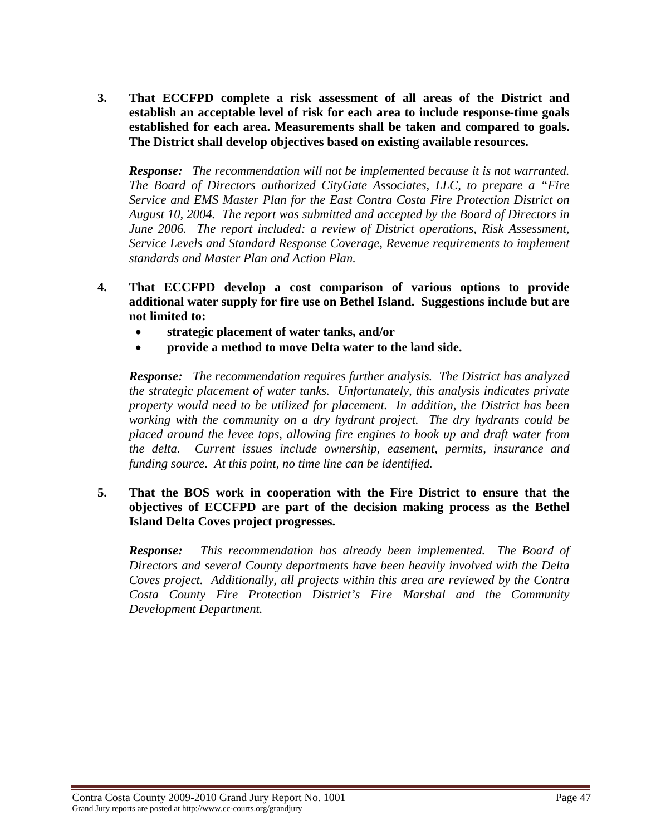**3. That ECCFPD complete a risk assessment of all areas of the District and establish an acceptable level of risk for each area to include response-time goals established for each area. Measurements shall be taken and compared to goals. The District shall develop objectives based on existing available resources.** 

*Response: The recommendation will not be implemented because it is not warranted. The Board of Directors authorized CityGate Associates, LLC, to prepare a "Fire Service and EMS Master Plan for the East Contra Costa Fire Protection District on August 10, 2004. The report was submitted and accepted by the Board of Directors in June 2006. The report included: a review of District operations, Risk Assessment, Service Levels and Standard Response Coverage, Revenue requirements to implement standards and Master Plan and Action Plan.* 

- **4. That ECCFPD develop a cost comparison of various options to provide additional water supply for fire use on Bethel Island. Suggestions include but are not limited to:** 
	- **strategic placement of water tanks, and/or**
	- **provide a method to move Delta water to the land side.**

*Response: The recommendation requires further analysis. The District has analyzed the strategic placement of water tanks. Unfortunately, this analysis indicates private property would need to be utilized for placement. In addition, the District has been working with the community on a dry hydrant project. The dry hydrants could be placed around the levee tops, allowing fire engines to hook up and draft water from the delta. Current issues include ownership, easement, permits, insurance and funding source. At this point, no time line can be identified.* 

## **5. That the BOS work in cooperation with the Fire District to ensure that the objectives of ECCFPD are part of the decision making process as the Bethel Island Delta Coves project progresses.**

*Response: This recommendation has already been implemented. The Board of Directors and several County departments have been heavily involved with the Delta Coves project. Additionally, all projects within this area are reviewed by the Contra Costa County Fire Protection District's Fire Marshal and the Community Development Department.*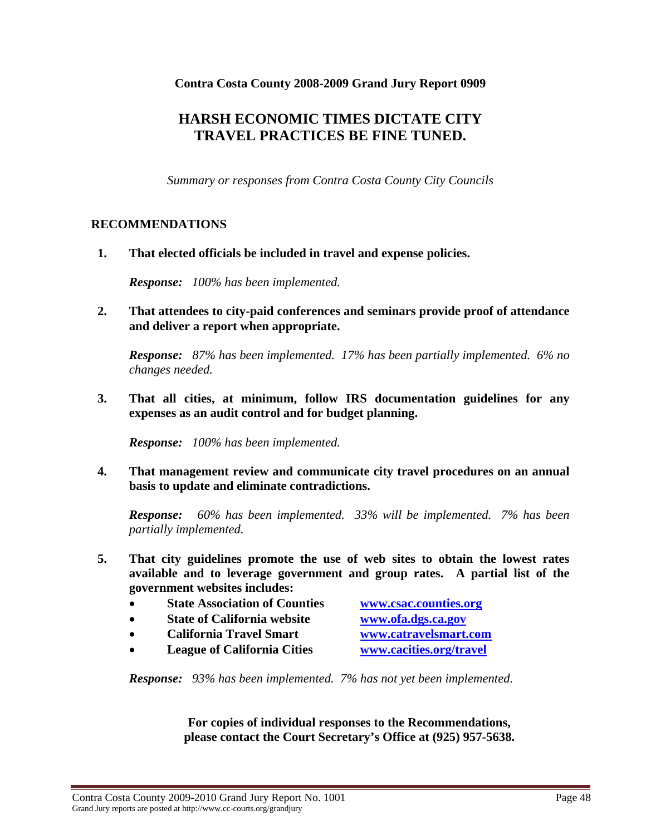**Contra Costa County 2008-2009 Grand Jury Report 0909** 

# **HARSH ECONOMIC TIMES DICTATE CITY TRAVEL PRACTICES BE FINE TUNED.**

*Summary or responses from Contra Costa County City Councils* 

## **RECOMMENDATIONS**

**1. That elected officials be included in travel and expense policies.** 

*Response: 100% has been implemented.* 

**2. That attendees to city-paid conferences and seminars provide proof of attendance and deliver a report when appropriate.** 

*Response: 87% has been implemented. 17% has been partially implemented. 6% no changes needed.* 

**3. That all cities, at minimum, follow IRS documentation guidelines for any expenses as an audit control and for budget planning.** 

*Response: 100% has been implemented.* 

**4. That management review and communicate city travel procedures on an annual basis to update and eliminate contradictions.** 

*Response: 60% has been implemented. 33% will be implemented. 7% has been partially implemented.* 

- **5. That city guidelines promote the use of web sites to obtain the lowest rates available and to leverage government and group rates. A partial list of the government websites includes:** 
	- **State Association of Counties [www.csac.counties.org](http://www.csac.counties.org/)**
	- **State of California website www.ofa.dgs.ca.gov**
	- **California Travel Smart www.catravelsmart.com**
	- **League of California Cities [www.cacities.org/travel](http://www.cacities.org/travel)**

*Response: 93% has been implemented. 7% has not yet been implemented.* 

**For copies of individual responses to the Recommendations, please contact the Court Secretary's Office at (925) 957-5638.**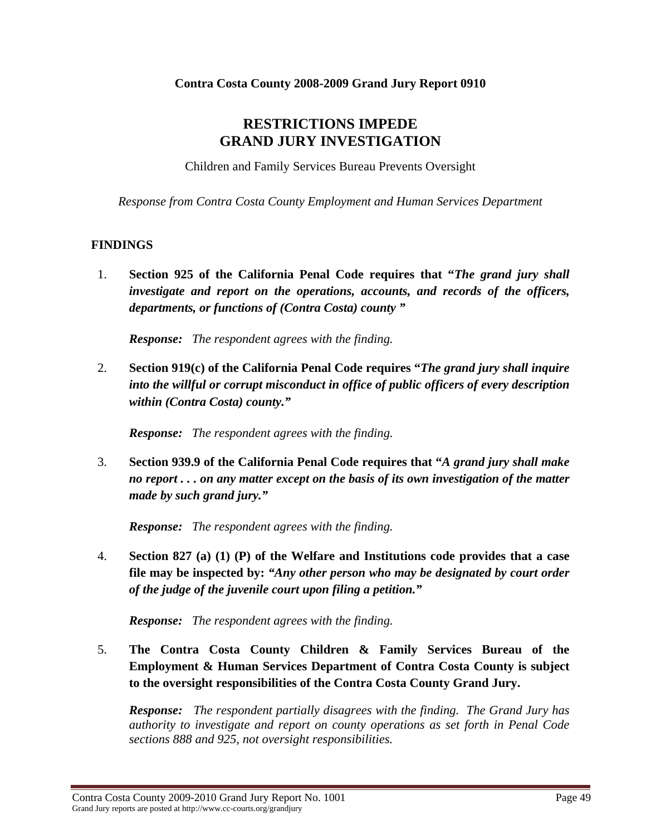# **RESTRICTIONS IMPEDE GRAND JURY INVESTIGATION**

Children and Family Services Bureau Prevents Oversight

*Response from Contra Costa County Employment and Human Services Department* 

## **FINDINGS**

1. **Section 925 of the California Penal Code requires that "***The grand jury shall investigate and report on the operations, accounts, and records of the officers, departments, or functions of (Contra Costa) county "* 

*Response: The respondent agrees with the finding.* 

2. **Section 919(c) of the California Penal Code requires "***The grand jury shall inquire into the willful or corrupt misconduct in office of public officers of every description within (Contra Costa) county."* 

*Response: The respondent agrees with the finding.* 

3. **Section 939.9 of the California Penal Code requires that "***A grand jury shall make no report . . . on any matter except on the basis of its own investigation of the matter made by such grand jury."* 

*Response: The respondent agrees with the finding.* 

4. **Section 827 (a) (1) (P) of the Welfare and Institutions code provides that a case file may be inspected by:** *"Any other person who may be designated by court order of the judge of the juvenile court upon filing a petition."* 

*Response: The respondent agrees with the finding.* 

5. **The Contra Costa County Children & Family Services Bureau of the Employment & Human Services Department of Contra Costa County is subject to the oversight responsibilities of the Contra Costa County Grand Jury.** 

*Response: The respondent partially disagrees with the finding. The Grand Jury has authority to investigate and report on county operations as set forth in Penal Code sections 888 and 925, not oversight responsibilities.*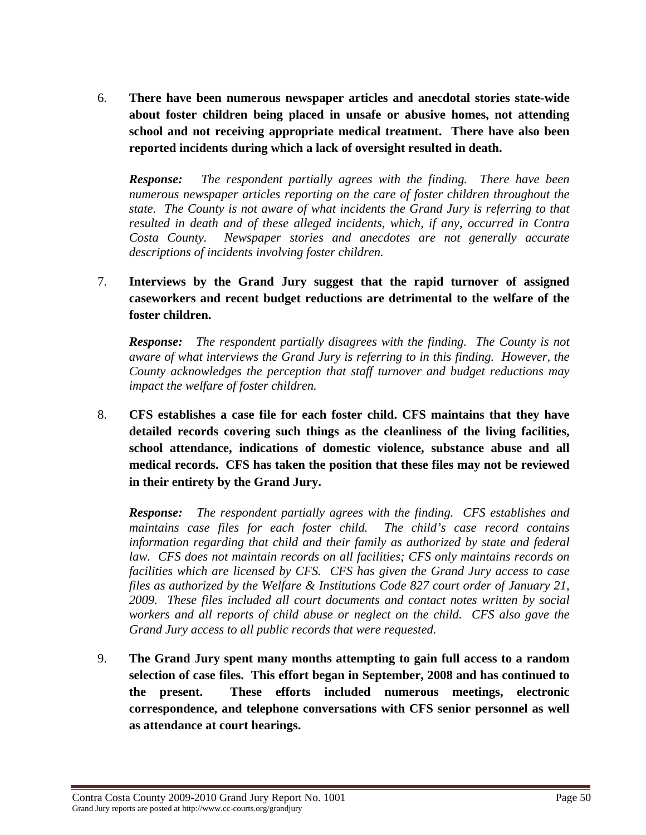6. **There have been numerous newspaper articles and anecdotal stories state-wide about foster children being placed in unsafe or abusive homes, not attending school and not receiving appropriate medical treatment. There have also been reported incidents during which a lack of oversight resulted in death.** 

*Response: The respondent partially agrees with the finding. There have been numerous newspaper articles reporting on the care of foster children throughout the state. The County is not aware of what incidents the Grand Jury is referring to that resulted in death and of these alleged incidents, which, if any, occurred in Contra Costa County. Newspaper stories and anecdotes are not generally accurate descriptions of incidents involving foster children.* 

7. **Interviews by the Grand Jury suggest that the rapid turnover of assigned caseworkers and recent budget reductions are detrimental to the welfare of the foster children.** 

*Response: The respondent partially disagrees with the finding. The County is not aware of what interviews the Grand Jury is referring to in this finding. However, the County acknowledges the perception that staff turnover and budget reductions may impact the welfare of foster children.* 

8. **CFS establishes a case file for each foster child. CFS maintains that they have detailed records covering such things as the cleanliness of the living facilities, school attendance, indications of domestic violence, substance abuse and all medical records. CFS has taken the position that these files may not be reviewed in their entirety by the Grand Jury.** 

*Response: The respondent partially agrees with the finding. CFS establishes and maintains case files for each foster child. The child's case record contains information regarding that child and their family as authorized by state and federal law. CFS does not maintain records on all facilities; CFS only maintains records on facilities which are licensed by CFS. CFS has given the Grand Jury access to case files as authorized by the Welfare & Institutions Code 827 court order of January 21, 2009. These files included all court documents and contact notes written by social workers and all reports of child abuse or neglect on the child. CFS also gave the Grand Jury access to all public records that were requested.* 

9. **The Grand Jury spent many months attempting to gain full access to a random selection of case files. This effort began in September, 2008 and has continued to the present. These efforts included numerous meetings, electronic correspondence, and telephone conversations with CFS senior personnel as well as attendance at court hearings.**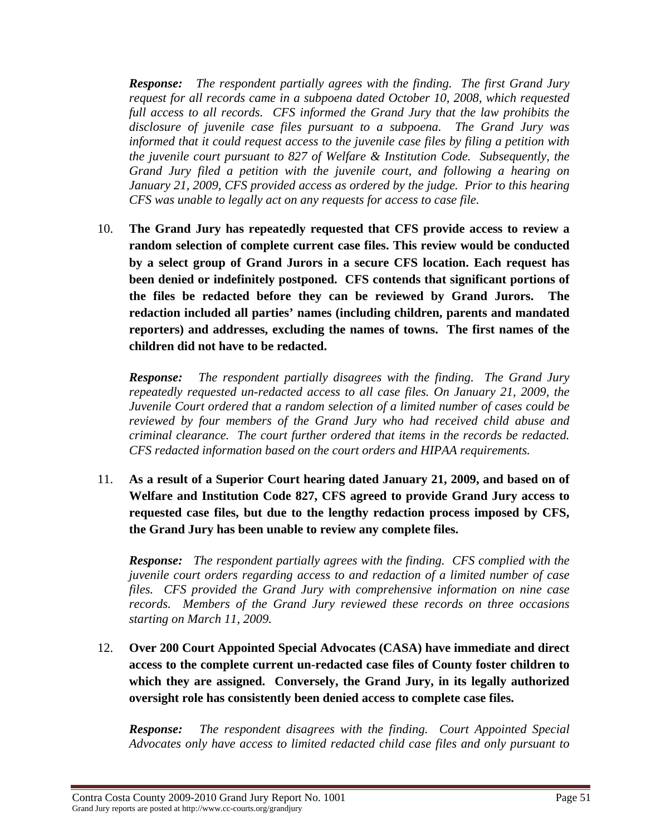*Response: The respondent partially agrees with the finding. The first Grand Jury request for all records came in a subpoena dated October 10, 2008, which requested full access to all records. CFS informed the Grand Jury that the law prohibits the disclosure of juvenile case files pursuant to a subpoena. The Grand Jury was informed that it could request access to the juvenile case files by filing a petition with the juvenile court pursuant to 827 of Welfare & Institution Code. Subsequently, the Grand Jury filed a petition with the juvenile court, and following a hearing on January 21, 2009, CFS provided access as ordered by the judge. Prior to this hearing CFS was unable to legally act on any requests for access to case file.* 

10. **The Grand Jury has repeatedly requested that CFS provide access to review a random selection of complete current case files. This review would be conducted by a select group of Grand Jurors in a secure CFS location. Each request has been denied or indefinitely postponed. CFS contends that significant portions of the files be redacted before they can be reviewed by Grand Jurors. The redaction included all parties' names (including children, parents and mandated reporters) and addresses, excluding the names of towns. The first names of the children did not have to be redacted.** 

*Response: The respondent partially disagrees with the finding. The Grand Jury repeatedly requested un-redacted access to all case files. On January 21, 2009, the Juvenile Court ordered that a random selection of a limited number of cases could be reviewed by four members of the Grand Jury who had received child abuse and criminal clearance. The court further ordered that items in the records be redacted. CFS redacted information based on the court orders and HIPAA requirements.* 

11. **As a result of a Superior Court hearing dated January 21, 2009, and based on of Welfare and Institution Code 827, CFS agreed to provide Grand Jury access to requested case files, but due to the lengthy redaction process imposed by CFS, the Grand Jury has been unable to review any complete files.** 

*Response: The respondent partially agrees with the finding. CFS complied with the juvenile court orders regarding access to and redaction of a limited number of case files. CFS provided the Grand Jury with comprehensive information on nine case records. Members of the Grand Jury reviewed these records on three occasions starting on March 11, 2009.* 

12. **Over 200 Court Appointed Special Advocates (CASA) have immediate and direct access to the complete current un-redacted case files of County foster children to which they are assigned. Conversely, the Grand Jury, in its legally authorized oversight role has consistently been denied access to complete case files.** 

*Response: The respondent disagrees with the finding. Court Appointed Special Advocates only have access to limited redacted child case files and only pursuant to*